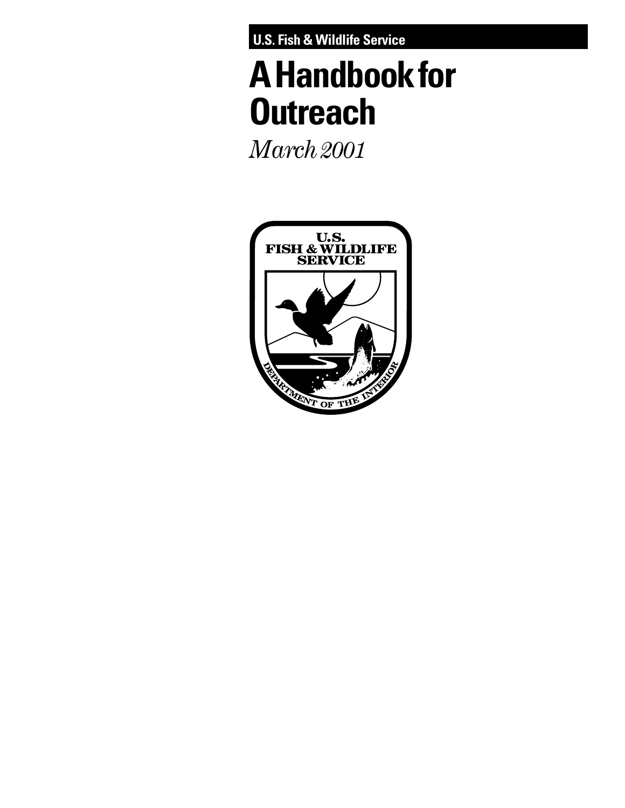**U.S. Fish & Wildlife Service**

# **A Handbook for Outreach**

*March 2001*

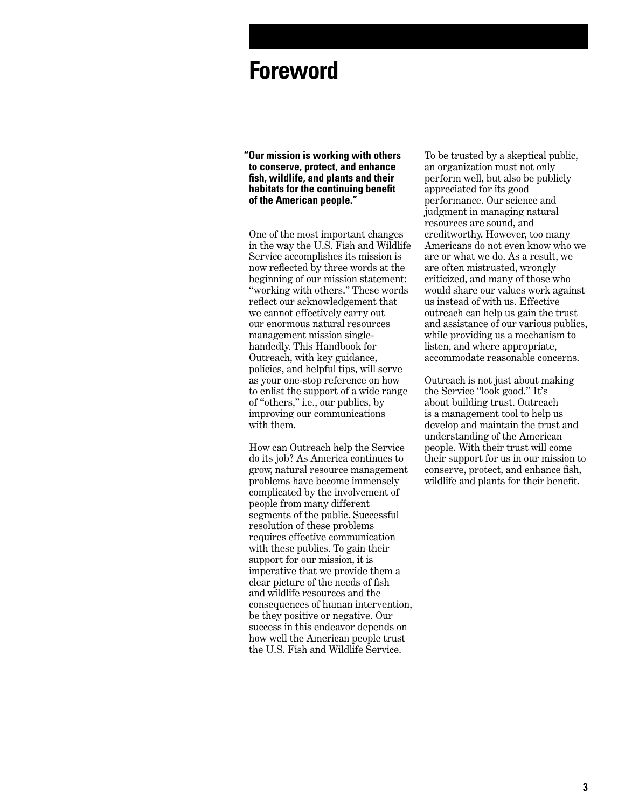## **Foreword**

**"Our mission is working with others to conserve, protect, and enhance fish, wildlife, and plants and their habitats for the continuing benefit of the American people."**

One of the most important changes in the way the U.S. Fish and Wildlife Service accomplishes its mission is now reflected by three words at the beginning of our mission statement: "working with others." These words reflect our acknowledgement that we cannot effectively carry out our enormous natural resources management mission singlehandedly. This Handbook for Outreach, with key guidance, policies, and helpful tips, will serve as your one-stop reference on how to enlist the support of a wide range of "others," i.e., our publics, by improving our communications with them.

How can Outreach help the Service do its job? As America continues to grow, natural resource management problems have become immensely complicated by the involvement of people from many different segments of the public. Successful resolution of these problems requires effective communication with these publics. To gain their support for our mission, it is imperative that we provide them a clear picture of the needs of fish and wildlife resources and the consequences of human intervention, be they positive or negative. Our success in this endeavor depends on how well the American people trust the U.S. Fish and Wildlife Service.

To be trusted by a skeptical public, an organization must not only perform well, but also be publicly appreciated for its good performance. Our science and judgment in managing natural resources are sound, and creditworthy. However, too many Americans do not even know who we are or what we do. As a result, we are often mistrusted, wrongly criticized, and many of those who would share our values work against us instead of with us. Effective outreach can help us gain the trust and assistance of our various publics, while providing us a mechanism to listen, and where appropriate, accommodate reasonable concerns.

Outreach is not just about making the Service "look good." It's about building trust. Outreach is a management tool to help us develop and maintain the trust and understanding of the American people. With their trust will come their support for us in our mission to conserve, protect, and enhance fish, wildlife and plants for their benefit.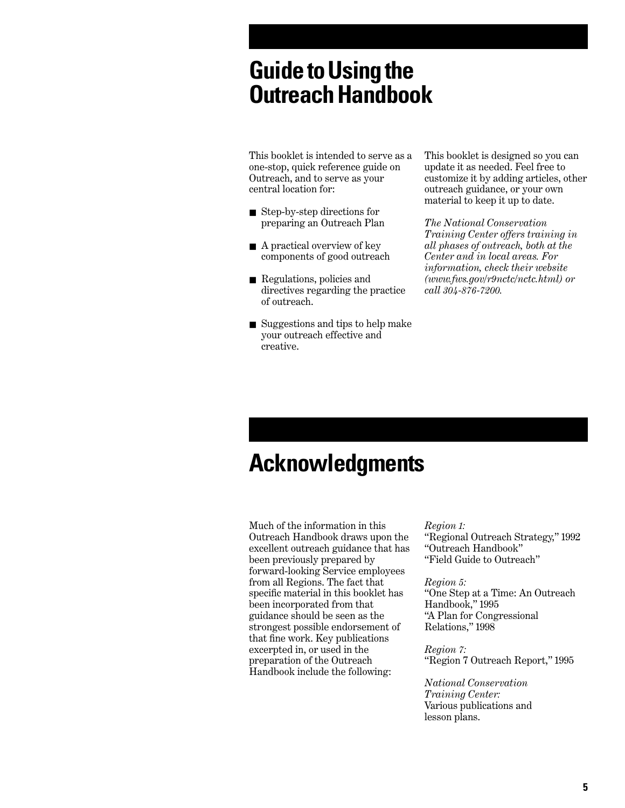## **Guide to Using the Outreach Handbook**

This booklet is intended to serve as a one-stop, quick reference guide on Outreach, and to serve as your central location for:

- Step-by-step directions for preparing an Outreach Plan
- A practical overview of key components of good outreach
- Regulations, policies and directives regarding the practice of outreach.
- Suggestions and tips to help make your outreach effective and creative.

This booklet is designed so you can update it as needed. Feel free to customize it by adding articles, other outreach guidance, or your own material to keep it up to date.

*The National Conservation Training Center offers training in all phases of outreach, both at the Center and in local areas. For information, check their website (www.fws.gov/r9nctc/nctc.html) or call 304-876-7200.*

## **Acknowledgments**

Much of the information in this Outreach Handbook draws upon the excellent outreach guidance that has been previously prepared by forward-looking Service employees from all Regions. The fact that specific material in this booklet has been incorporated from that guidance should be seen as the strongest possible endorsement of that fine work. Key publications excerpted in, or used in the preparation of the Outreach Handbook include the following:

*Region 1:*

"Regional Outreach Strategy," 1992 "Outreach Handbook" "Field Guide to Outreach"

#### *Region 5:*

"One Step at a Time: An Outreach Handbook," 1995 "A Plan for Congressional Relations," 1998

#### *Region 7:*

"Region 7 Outreach Report," 1995

*National Conservation Training Center:*  Various publications and lesson plans.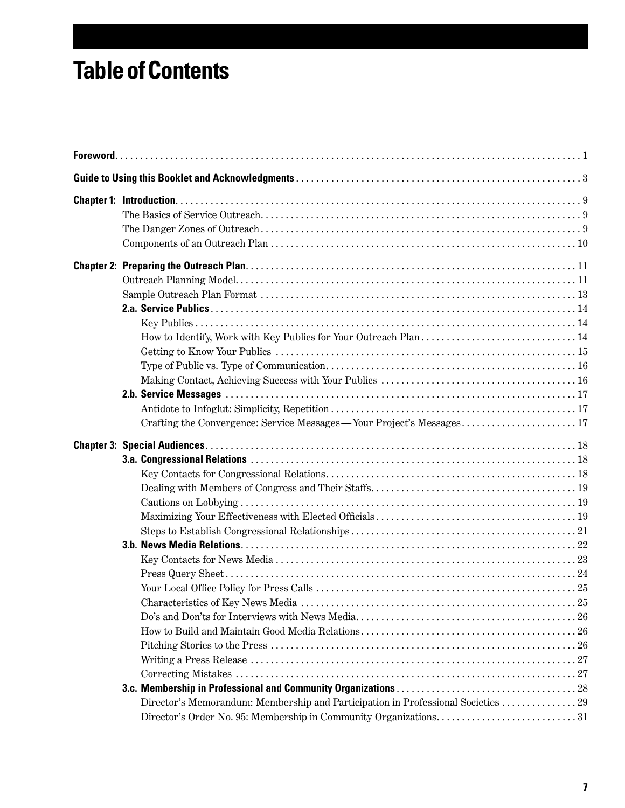## **Table of Contents**

| Crafting the Convergence: Service Messages — Your Project's Messages              |  |
|-----------------------------------------------------------------------------------|--|
|                                                                                   |  |
| Director's Memorandum: Membership and Participation in Professional Societies  29 |  |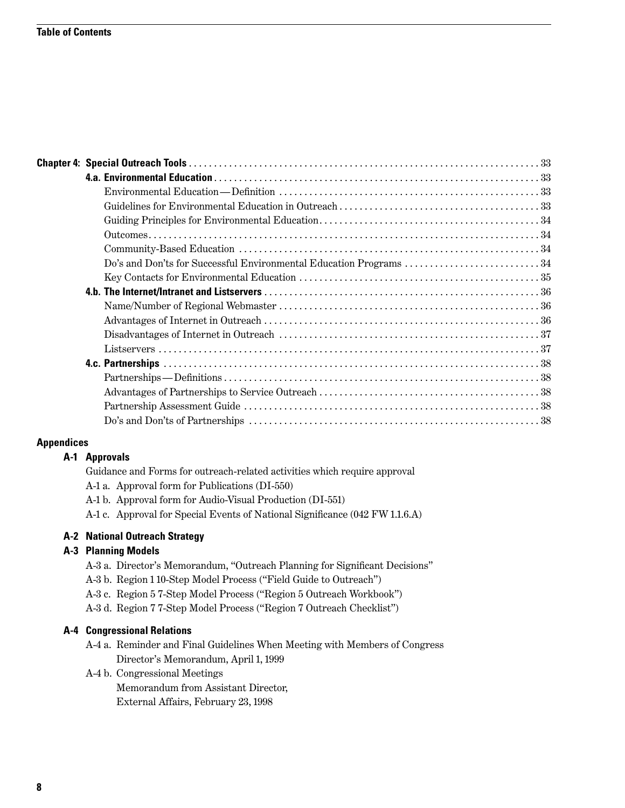|                   | Do's and Don'ts for Successful Environmental Education Programs 34 |  |
|-------------------|--------------------------------------------------------------------|--|
|                   |                                                                    |  |
|                   |                                                                    |  |
|                   |                                                                    |  |
|                   |                                                                    |  |
|                   |                                                                    |  |
|                   |                                                                    |  |
|                   |                                                                    |  |
|                   |                                                                    |  |
|                   |                                                                    |  |
|                   |                                                                    |  |
|                   |                                                                    |  |
| <b>Appendices</b> |                                                                    |  |

#### **A-1 Approvals**

| Guidance and Forms for outreach-related activities which require approval |  |  |  |
|---------------------------------------------------------------------------|--|--|--|
|---------------------------------------------------------------------------|--|--|--|

- A-1 a. Approval form for Publications (DI-550)
- A-1 b. Approval form for Audio-Visual Production (DI-551)
- A-1 c. Approval for Special Events of National Significance (042 FW 1.1.6.A)

#### **A-2 National Outreach Strategy**

#### **A-3 Planning Models**

- A-3 a. Director's Memorandum, "Outreach Planning for Significant Decisions"
- A-3 b. Region 1 10-Step Model Process ("Field Guide to Outreach")
- A-3 c. Region 5 7-Step Model Process ("Region 5 Outreach Workbook")
- A-3 d. Region 7 7-Step Model Process ("Region 7 Outreach Checklist")

#### **A-4 Congressional Relations**

- A-4 a. Reminder and Final Guidelines When Meeting with Members of Congress Director's Memorandum, April 1, 1999
- A-4 b. Congressional Meetings

Memorandum from Assistant Director, External Affairs, February 23, 1998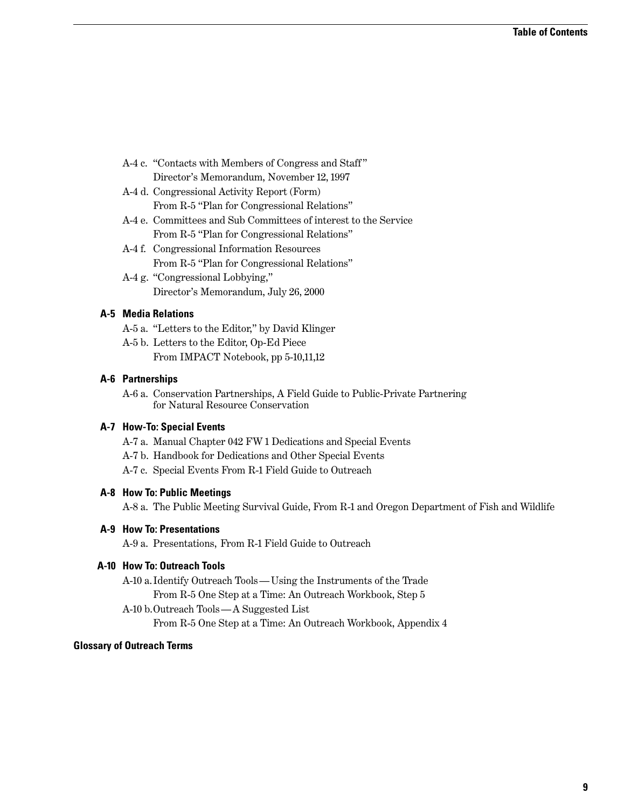- A-4 c. "Contacts with Members of Congress and Staff " Director's Memorandum, November 12, 1997
- A-4 d. Congressional Activity Report (Form) From R-5 "Plan for Congressional Relations"
- A-4 e. Committees and Sub Committees of interest to the Service From R-5 "Plan for Congressional Relations"
- A-4 f. Congressional Information Resources From R-5 "Plan for Congressional Relations"
- A-4 g. "Congressional Lobbying," Director's Memorandum, July 26, 2000

#### **A-5 Media Relations**

- A-5 a. "Letters to the Editor," by David Klinger
- A-5 b. Letters to the Editor, Op-Ed Piece From IMPACT Notebook, pp 5-10,11,12

#### **A-6 Partnerships**

A-6 a. Conservation Partnerships, A Field Guide to Public-Private Partnering for Natural Resource Conservation

#### **A-7 How-To: Special Events**

- A-7 a. Manual Chapter 042 FW 1 Dedications and Special Events
- A-7 b. Handbook for Dedications and Other Special Events
- A-7 c. Special Events From R-1 Field Guide to Outreach

#### **A-8 How To: Public Meetings**

A-8 a. The Public Meeting Survival Guide, From R-1 and Oregon Department of Fish and Wildlife

#### **A-9 How To: Presentations**

A-9 a. Presentations, From R-1 Field Guide to Outreach

#### **A-10 How To: Outreach Tools**

- A-10 a.Identify Outreach Tools Using the Instruments of the Trade From R-5 One Step at a Time: An Outreach Workbook, Step 5
- A-10 b.Outreach Tools A Suggested List

From R-5 One Step at a Time: An Outreach Workbook, Appendix 4

#### **Glossary of Outreach Terms**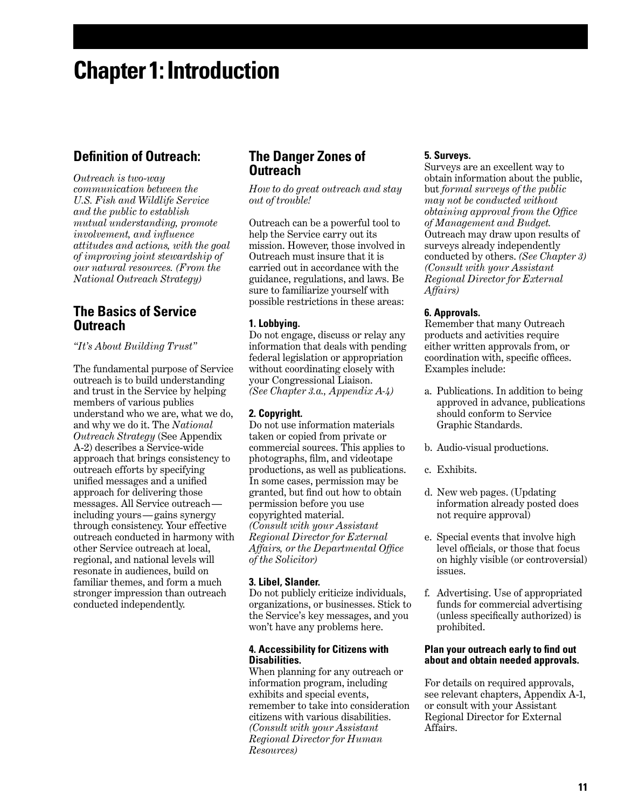## **Chapter 1: Introduction**

## **Definition of Outreach:**

*Outreach is two-way communication between the U.S. Fish and Wildlife Service and the public to establish mutual understanding, promote involvement, and influence attitudes and actions, with the goal of improving joint stewardship of our natural resources. (From the National Outreach Strategy)*

### **The Basics of Service Outreach**

*"It's About Building Trust"*

The fundamental purpose of Service outreach is to build understanding and trust in the Service by helping members of various publics understand who we are, what we do, and why we do it. The *National Outreach Strategy* (See Appendix A-2) describes a Service-wide approach that brings consistency to outreach efforts by specifying unified messages and a unified approach for delivering those messages. All Service outreach including yours — gains synergy through consistency. Your effective outreach conducted in harmony with other Service outreach at local, regional, and national levels will resonate in audiences, build on familiar themes, and form a much stronger impression than outreach conducted independently.

## **The Danger Zones of Outreach**

*How to do great outreach and stay out of trouble!*

Outreach can be a powerful tool to help the Service carry out its mission. However, those involved in Outreach must insure that it is carried out in accordance with the guidance, regulations, and laws. Be sure to familiarize yourself with possible restrictions in these areas:

#### **1. Lobbying.**

Do not engage, discuss or relay any information that deals with pending federal legislation or appropriation without coordinating closely with your Congressional Liaison. *(See Chapter 3.a., Appendix A-4)*

#### **2. Copyright.**

Do not use information materials taken or copied from private or commercial sources. This applies to photographs, film, and videotape productions, as well as publications. In some cases, permission may be granted, but find out how to obtain permission before you use copyrighted material. *(Consult with your Assistant Regional Director for External Affairs, or the Departmental Office of the Solicitor)*

#### **3. Libel, Slander.**

Do not publicly criticize individuals, organizations, or businesses. Stick to the Service's key messages, and you won't have any problems here.

#### **4. Accessibility for Citizens with Disabilities.**

When planning for any outreach or information program, including exhibits and special events, remember to take into consideration citizens with various disabilities. *(Consult with your Assistant Regional Director for Human Resources)* 

#### **5. Surveys.**

Surveys are an excellent way to obtain information about the public, but *formal surveys of the public may not be conducted without obtaining approval from the Office of Management and Budget.* Outreach may draw upon results of surveys already independently conducted by others. *(See Chapter 3) (Consult with your Assistant Regional Director for External Affairs)*

#### **6. Approvals.**

Remember that many Outreach products and activities require either written approvals from, or coordination with, specific offices. Examples include:

- a. Publications. In addition to being approved in advance, publications should conform to Service Graphic Standards.
- b. Audio-visual productions.
- c. Exhibits.
- d. New web pages. (Updating information already posted does not require approval)
- e. Special events that involve high level officials, or those that focus on highly visible (or controversial) issues.
- f. Advertising. Use of appropriated funds for commercial advertising (unless specifically authorized) is prohibited.

#### **Plan your outreach early to find out about and obtain needed approvals.**

For details on required approvals, see relevant chapters, Appendix A-1, or consult with your Assistant Regional Director for External Affairs.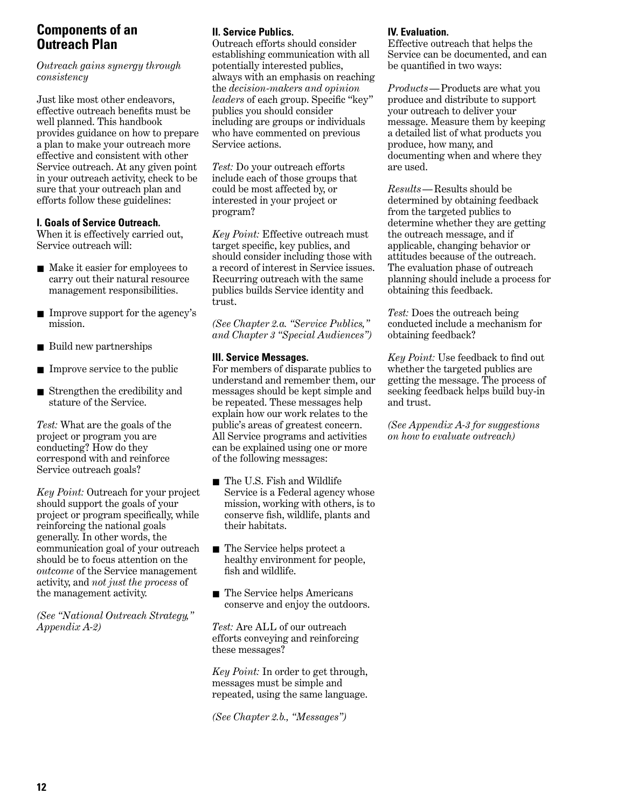## **Components of an Outreach Plan**

*Outreach gains synergy through consistency*

Just like most other endeavors, effective outreach benefits must be well planned. This handbook provides guidance on how to prepare a plan to make your outreach more effective and consistent with other Service outreach. At any given point in your outreach activity, check to be sure that your outreach plan and efforts follow these guidelines:

#### **I. Goals of Service Outreach.**

When it is effectively carried out, Service outreach will:

- Make it easier for employees to carry out their natural resource management responsibilities.
- Improve support for the agency's mission.
- Build new partnerships
- Improve service to the public
- Strengthen the credibility and stature of the Service.

*Test:* What are the goals of the project or program you are conducting? How do they correspond with and reinforce Service outreach goals?

*Key Point:* Outreach for your project should support the goals of your project or program specifically, while reinforcing the national goals generally. In other words, the communication goal of your outreach should be to focus attention on the *outcome* of the Service management activity, and *not just the process* of the management activity.

*(See "National Outreach Strategy," Appendix A-2)*

#### **II. Service Publics.**

Outreach efforts should consider establishing communication with all potentially interested publics, always with an emphasis on reaching the *decision-makers and opinion leaders* of each group. Specific "key" publics you should consider including are groups or individuals who have commented on previous Service actions.

*Test:* Do your outreach efforts include each of those groups that could be most affected by, or interested in your project or program?

*Key Point:* Effective outreach must target specific, key publics, and should consider including those with a record of interest in Service issues. Recurring outreach with the same publics builds Service identity and trust.

*(See Chapter 2.a. "Service Publics," and Chapter 3 "Special Audiences")*

#### **III. Service Messages.**

For members of disparate publics to understand and remember them, our messages should be kept simple and be repeated. These messages help explain how our work relates to the public's areas of greatest concern. All Service programs and activities can be explained using one or more of the following messages:

- The U.S. Fish and Wildlife Service is a Federal agency whose mission, working with others, is to conserve fish, wildlife, plants and their habitats.
- The Service helps protect a healthy environment for people, fish and wildlife.
- The Service helps Americans conserve and enjoy the outdoors.

*Test:* Are ALL of our outreach efforts conveying and reinforcing these messages?

*Key Point:* In order to get through, messages must be simple and repeated, using the same language.

*(See Chapter 2.b., "Messages")*

#### **IV. Evaluation.**

Effective outreach that helps the Service can be documented, and can be quantified in two ways:

*Products*—Products are what you produce and distribute to support your outreach to deliver your message. Measure them by keeping a detailed list of what products you produce, how many, and documenting when and where they are used.

*Results*—Results should be determined by obtaining feedback from the targeted publics to determine whether they are getting the outreach message, and if applicable, changing behavior or attitudes because of the outreach. The evaluation phase of outreach planning should include a process for obtaining this feedback.

*Test:* Does the outreach being conducted include a mechanism for obtaining feedback?

*Key Point:* Use feedback to find out whether the targeted publics are getting the message. The process of seeking feedback helps build buy-in and trust.

*(See Appendix A-3 for suggestions on how to evaluate outreach)*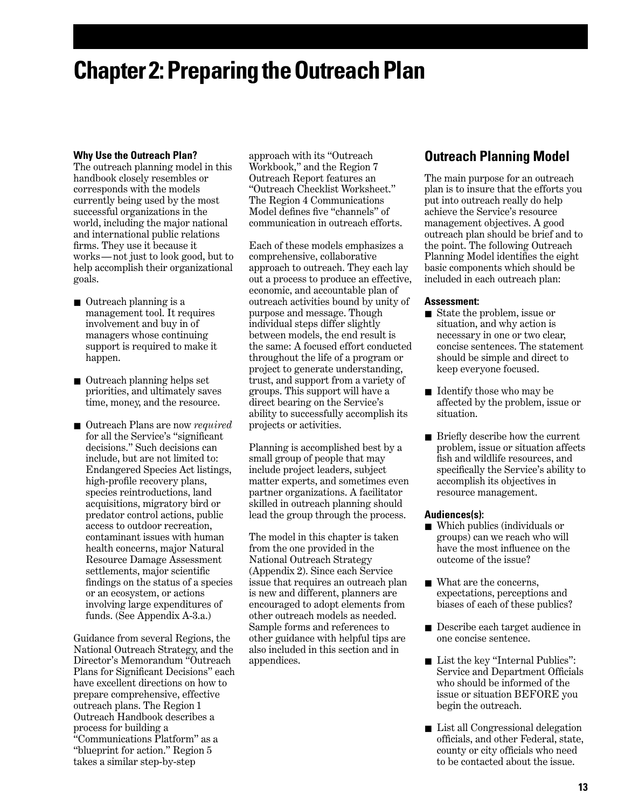## **Chapter 2: Preparing the Outreach Plan**

#### **Why Use the Outreach Plan?**

The outreach planning model in this handbook closely resembles or corresponds with the models currently being used by the most successful organizations in the world, including the major national and international public relations firms. They use it because it works — not just to look good, but to help accomplish their organizational goals.

- Outreach planning is a management tool. It requires involvement and buy in of managers whose continuing support is required to make it happen.
- Outreach planning helps set priorities, and ultimately saves time, money, and the resource.
- Outreach Plans are now *required* for all the Service's "significant decisions." Such decisions can include, but are not limited to: Endangered Species Act listings, high-profile recovery plans, species reintroductions, land acquisitions, migratory bird or predator control actions, public access to outdoor recreation, contaminant issues with human health concerns, major Natural Resource Damage Assessment settlements, major scientific findings on the status of a species or an ecosystem, or actions involving large expenditures of funds. (See Appendix A-3.a.)

Guidance from several Regions, the National Outreach Strategy, and the Director's Memorandum "Outreach Plans for Significant Decisions" each have excellent directions on how to prepare comprehensive, effective outreach plans. The Region 1 Outreach Handbook describes a process for building a "Communications Platform" as a "blueprint for action." Region 5 takes a similar step-by-step

approach with its "Outreach Workbook," and the Region 7 Outreach Report features an "Outreach Checklist Worksheet." The Region 4 Communications Model defines five "channels" of communication in outreach efforts.

Each of these models emphasizes a comprehensive, collaborative approach to outreach. They each lay out a process to produce an effective, economic, and accountable plan of outreach activities bound by unity of purpose and message. Though individual steps differ slightly between models, the end result is the same: A focused effort conducted throughout the life of a program or project to generate understanding, trust, and support from a variety of groups. This support will have a direct bearing on the Service's ability to successfully accomplish its projects or activities.

Planning is accomplished best by a small group of people that may include project leaders, subject matter experts, and sometimes even partner organizations. A facilitator skilled in outreach planning should lead the group through the process.

The model in this chapter is taken from the one provided in the National Outreach Strategy (Appendix 2). Since each Service issue that requires an outreach plan is new and different, planners are encouraged to adopt elements from other outreach models as needed. Sample forms and references to other guidance with helpful tips are also included in this section and in appendices.

## **Outreach Planning Model**

The main purpose for an outreach plan is to insure that the efforts you put into outreach really do help achieve the Service's resource management objectives. A good outreach plan should be brief and to the point. The following Outreach Planning Model identifies the eight basic components which should be included in each outreach plan:

#### **Assessment:**

- State the problem, issue or situation, and why action is necessary in one or two clear, concise sentences. The statement should be simple and direct to keep everyone focused.
- Identify those who may be affected by the problem, issue or situation.
- Briefly describe how the current problem, issue or situation affects fish and wildlife resources, and specifically the Service's ability to accomplish its objectives in resource management.

#### **Audiences(s):**

- Which publics (individuals or groups) can we reach who will have the most influence on the outcome of the issue?
- What are the concerns, expectations, perceptions and biases of each of these publics?
- Describe each target audience in one concise sentence.
- List the key "Internal Publics": Service and Department Officials who should be informed of the issue or situation BEFORE you begin the outreach.
- List all Congressional delegation officials, and other Federal, state, county or city officials who need to be contacted about the issue.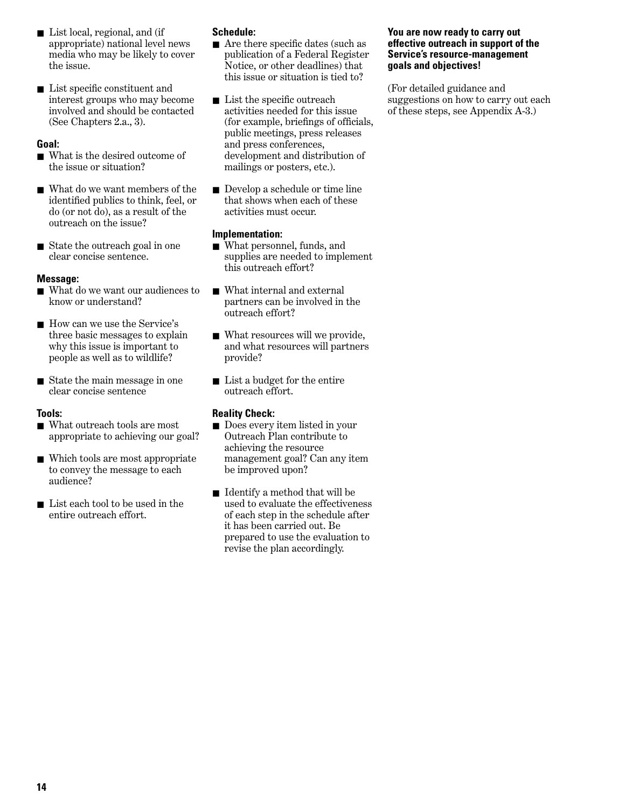- List local, regional, and (if appropriate) national level news media who may be likely to cover the issue.
- List specific constituent and interest groups who may become involved and should be contacted (See Chapters 2.a., 3).

#### **Goal:**

- What is the desired outcome of the issue or situation?
- What do we want members of the identified publics to think, feel, or do (or not do), as a result of the outreach on the issue?
- State the outreach goal in one clear concise sentence.

#### **Message:**

- What do we want our audiences to know or understand?
- How can we use the Service's three basic messages to explain why this issue is important to people as well as to wildlife?
- State the main message in one clear concise sentence

#### **Tools:**

- What outreach tools are most appropriate to achieving our goal?
- Which tools are most appropriate to convey the message to each audience?
- List each tool to be used in the entire outreach effort.

#### **Schedule:**

- Are there specific dates (such as publication of a Federal Register Notice, or other deadlines) that this issue or situation is tied to?
- List the specific outreach activities needed for this issue (for example, briefings of officials, public meetings, press releases and press conferences, development and distribution of mailings or posters, etc.).
- Develop a schedule or time line that shows when each of these activities must occur.

#### **Implementation:**

- What personnel, funds, and supplies are needed to implement this outreach effort?
- What internal and external partners can be involved in the outreach effort?
- What resources will we provide, and what resources will partners provide?
- List a budget for the entire outreach effort.

#### **Reality Check:**

- Does every item listed in your Outreach Plan contribute to achieving the resource management goal? Can any item be improved upon?
- Identify a method that will be used to evaluate the effectiveness of each step in the schedule after it has been carried out. Be prepared to use the evaluation to revise the plan accordingly.

#### **You are now ready to carry out effective outreach in support of the Service's resource-management goals and objectives!**

(For detailed guidance and suggestions on how to carry out each of these steps, see Appendix A-3.)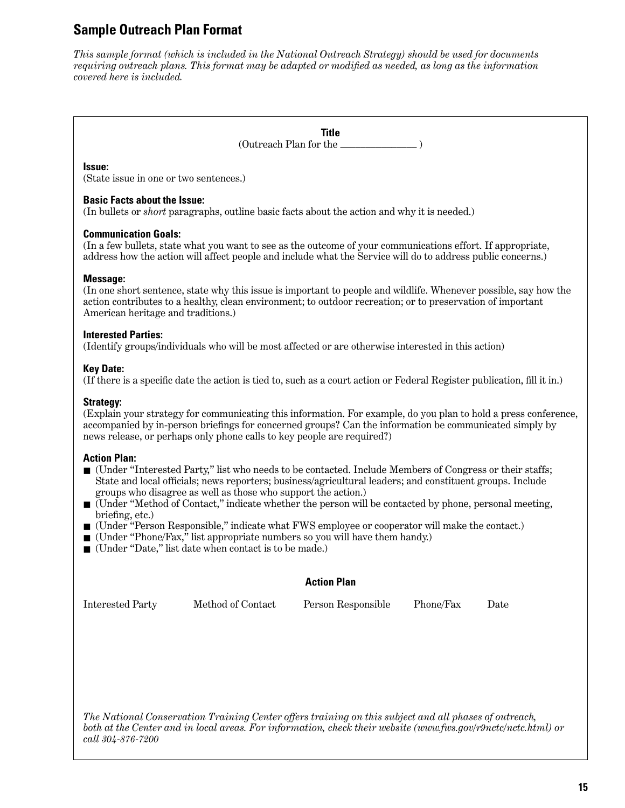## **Sample Outreach Plan Format**

*This sample format (which is included in the National Outreach Strategy) should be used for documents requiring outreach plans. This format may be adapted or modified as needed, as long as the information covered here is included.*

> **Title** (Outreach Plan for the \_\_\_\_\_\_\_\_\_\_\_\_\_\_\_ )

#### **Issue:**

(State issue in one or two sentences.)

#### **Basic Facts about the Issue:**

(In bullets or *short* paragraphs, outline basic facts about the action and why it is needed.)

#### **Communication Goals:**

(In a few bullets, state what you want to see as the outcome of your communications effort. If appropriate, address how the action will affect people and include what the Service will do to address public concerns.)

#### **Message:**

(In one short sentence, state why this issue is important to people and wildlife. Whenever possible, say how the action contributes to a healthy, clean environment; to outdoor recreation; or to preservation of important American heritage and traditions.)

#### **Interested Parties:**

(Identify groups/individuals who will be most affected or are otherwise interested in this action)

#### **Key Date:**

(If there is a specific date the action is tied to, such as a court action or Federal Register publication, fill it in.)

#### **Strategy:**

(Explain your strategy for communicating this information. For example, do you plan to hold a press conference, accompanied by in-person briefings for concerned groups? Can the information be communicated simply by news release, or perhaps only phone calls to key people are required?)

#### **Action Plan:**

- (Under "Interested Party," list who needs to be contacted. Include Members of Congress or their staffs; State and local officials; news reporters; business/agricultural leaders; and constituent groups. Include groups who disagree as well as those who support the action.)
- (Under "Method of Contact," indicate whether the person will be contacted by phone, personal meeting, briefing, etc.)
- (Under "Person Responsible," indicate what FWS employee or cooperator will make the contact.)
- (Under "Phone/Fax," list appropriate numbers so you will have them handy.)
- (Under "Date," list date when contact is to be made.)

#### **Action Plan**

Interested Party Method of Contact Person Responsible Phone/Fax Date

*The National Conservation Training Center offers training on this subject and all phases of outreach, both at the Center and in local areas. For information, check their website (www.fws.gov/r9nctc/nctc.html) or call 304-876-7200*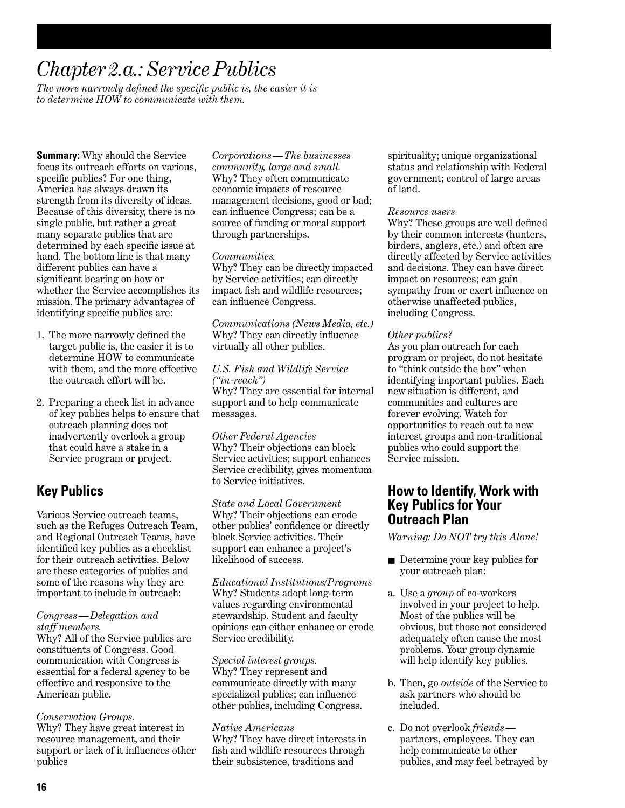## *Chapter 2.a.: Service Publics*

*The more narrowly defined the specific public is, the easier it is to determine HOW to communicate with them.*

**Summary:** Why should the Service focus its outreach efforts on various, specific publics? For one thing, America has always drawn its strength from its diversity of ideas. Because of this diversity, there is no single public, but rather a great many separate publics that are determined by each specific issue at hand. The bottom line is that many different publics can have a significant bearing on how or whether the Service accomplishes its mission. The primary advantages of identifying specific publics are:

- 1. The more narrowly defined the target public is, the easier it is to determine HOW to communicate with them, and the more effective the outreach effort will be.
- 2. Preparing a check list in advance of key publics helps to ensure that outreach planning does not inadvertently overlook a group that could have a stake in a Service program or project.

## **Key Publics**

Various Service outreach teams, such as the Refuges Outreach Team, and Regional Outreach Teams, have identified key publics as a checklist for their outreach activities. Below are these categories of publics and some of the reasons why they are important to include in outreach:

#### *Congress — Delegation and staff members.*

Why? All of the Service publics are constituents of Congress. Good communication with Congress is essential for a federal agency to be effective and responsive to the American public.

#### *Conservation Groups.*

Why? They have great interest in resource management, and their support or lack of it influences other publics

*Corporations — The businesses community, large and small.* Why? They often communicate economic impacts of resource management decisions, good or bad; can influence Congress; can be a source of funding or moral support through partnerships.

#### *Communities.*

Why? They can be directly impacted by Service activities; can directly impact fish and wildlife resources; can influence Congress.

*Communications (News Media, etc.)* Why? They can directly influence virtually all other publics.

#### *U.S. Fish and Wildlife Service ("in-reach")*

Why? They are essential for internal support and to help communicate messages.

*Other Federal Agencies* Why? Their objections can block Service activities; support enhances Service credibility, gives momentum to Service initiatives.

*State and Local Government* Why? Their objections can erode other publics' confidence or directly block Service activities. Their support can enhance a project's likelihood of success.

*Educational Institutions/Programs* Why? Students adopt long-term values regarding environmental stewardship. Student and faculty opinions can either enhance or erode Service credibility.

#### *Special interest groups.* Why? They represent and

communicate directly with many specialized publics; can influence other publics, including Congress.

#### *Native Americans*

Why? They have direct interests in fish and wildlife resources through their subsistence, traditions and

spirituality; unique organizational status and relationship with Federal government; control of large areas of land.

#### *Resource users*

Why? These groups are well defined by their common interests (hunters, birders, anglers, etc.) and often are directly affected by Service activities and decisions. They can have direct impact on resources; can gain sympathy from or exert influence on otherwise unaffected publics, including Congress.

#### *Other publics?*

As you plan outreach for each program or project, do not hesitate to "think outside the box" when identifying important publics. Each new situation is different, and communities and cultures are forever evolving. Watch for opportunities to reach out to new interest groups and non-traditional publics who could support the Service mission.

### **How to Identify, Work with Key Publics for Your Outreach Plan**

*Warning: Do NOT try this Alone!*

- Determine your key publics for your outreach plan:
- a. Use a *group* of co-workers involved in your project to help. Most of the publics will be obvious, but those not considered adequately often cause the most problems. Your group dynamic will help identify key publics.
- b. Then, go *outside* of the Service to ask partners who should be included.
- c. Do not overlook *friends*  partners, employees. They can help communicate to other publics, and may feel betrayed by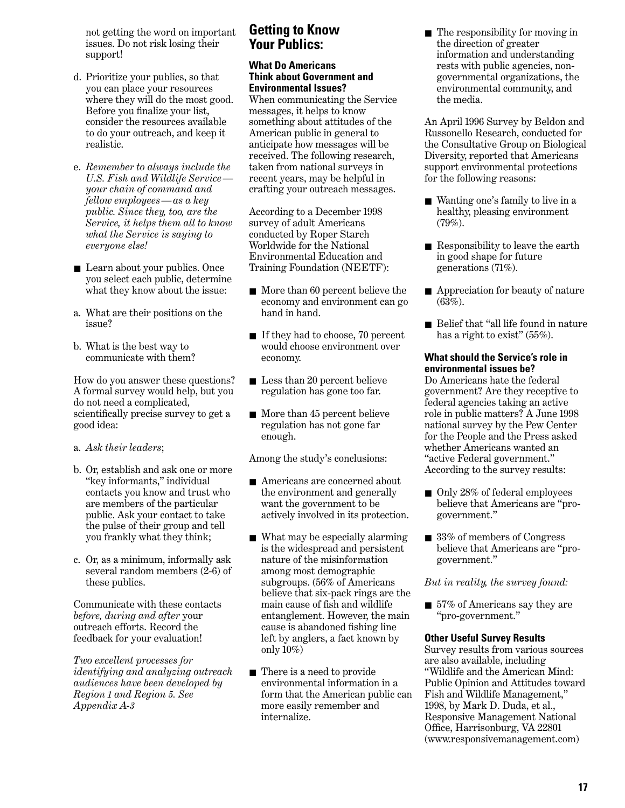not getting the word on important issues. Do not risk losing their support!

- d. Prioritize your publics, so that you can place your resources where they will do the most good. Before you finalize your list, consider the resources available to do your outreach, and keep it realistic.
- e. *Remember to always include the U.S. Fish and Wildlife Service your chain of command and fellow employees — as a key public. Since they, too, are the Service, it helps them all to know what the Service is saying to everyone else!*
- Learn about your publics. Once you select each public, determine what they know about the issue:
- a. What are their positions on the issue?
- b. What is the best way to communicate with them?

How do you answer these questions? A formal survey would help, but you do not need a complicated, scientifically precise survey to get a good idea:

- a. *Ask their leaders*;
- b. Or, establish and ask one or more "key informants," individual contacts you know and trust who are members of the particular public. Ask your contact to take the pulse of their group and tell you frankly what they think;
- c. Or, as a minimum, informally ask several random members (2-6) of these publics.

Communicate with these contacts *before, during and after* your outreach efforts. Record the feedback for your evaluation!

*Two excellent processes for identifying and analyzing outreach audiences have been developed by Region 1 and Region 5. See Appendix A-3*

## **Getting to Know Your Publics:**

#### **What Do Americans Think about Government and Environmental Issues?**

When communicating the Service messages, it helps to know something about attitudes of the American public in general to anticipate how messages will be received. The following research, taken from national surveys in recent years, may be helpful in crafting your outreach messages.

According to a December 1998 survey of adult Americans conducted by Roper Starch Worldwide for the National Environmental Education and Training Foundation (NEETF):

- More than 60 percent believe the economy and environment can go hand in hand.
- If they had to choose, 70 percent would choose environment over economy.
- Less than 20 percent believe regulation has gone too far.
- More than 45 percent believe regulation has not gone far enough.

Among the study's conclusions:

- Americans are concerned about the environment and generally want the government to be actively involved in its protection.
- What may be especially alarming is the widespread and persistent nature of the misinformation among most demographic subgroups. (56% of Americans believe that six-pack rings are the main cause of fish and wildlife entanglement. However, the main cause is abandoned fishing line left by anglers, a fact known by only 10%)
- There is a need to provide environmental information in a form that the American public can more easily remember and internalize.

■ The responsibility for moving in the direction of greater information and understanding rests with public agencies, nongovernmental organizations, the environmental community, and the media.

An April 1996 Survey by Beldon and Russonello Research, conducted for the Consultative Group on Biological Diversity, reported that Americans support environmental protections for the following reasons:

- Wanting one's family to live in a healthy, pleasing environment (79%).
- Responsibility to leave the earth in good shape for future generations (71%).
- Appreciation for beauty of nature (63%).
- Belief that "all life found in nature has a right to exist" (55%).

#### **What should the Service's role in environmental issues be?**

Do Americans hate the federal government? Are they receptive to federal agencies taking an active role in public matters? A June 1998 national survey by the Pew Center for the People and the Press asked whether Americans wanted an "active Federal government." According to the survey results:

- Only 28% of federal employees believe that Americans are "progovernment."
- 33% of members of Congress believe that Americans are "progovernment."

*But in reality, the survey found:*

■ 57% of Americans say they are "pro-government."

#### **Other Useful Survey Results**

Survey results from various sources are also available, including "Wildlife and the American Mind: Public Opinion and Attitudes toward Fish and Wildlife Management," 1998, by Mark D. Duda, et al., Responsive Management National Office, Harrisonburg, VA 22801 (www.responsivemanagement.com)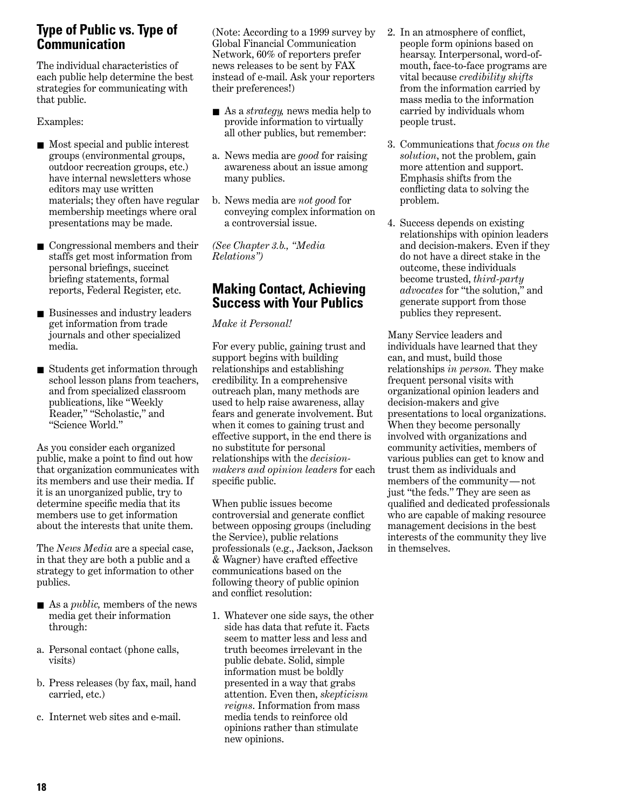## **Type of Public vs. Type of Communication**

The individual characteristics of each public help determine the best strategies for communicating with that public.

Examples:

- Most special and public interest groups (environmental groups, outdoor recreation groups, etc.) have internal newsletters whose editors may use written materials; they often have regular membership meetings where oral presentations may be made.
- Congressional members and their staffs get most information from personal briefings, succinct briefing statements, formal reports, Federal Register, etc.
- Businesses and industry leaders get information from trade journals and other specialized media.
- Students get information through school lesson plans from teachers, and from specialized classroom publications, like "Weekly Reader," "Scholastic," and "Science World."

As you consider each organized public, make a point to find out how that organization communicates with its members and use their media. If it is an unorganized public, try to determine specific media that its members use to get information about the interests that unite them.

The *News Media* are a special case, in that they are both a public and a strategy to get information to other publics.

- As a *public*, members of the news media get their information through:
- a. Personal contact (phone calls, visits)
- b. Press releases (by fax, mail, hand carried, etc.)
- c. Internet web sites and e-mail.

(Note: According to a 1999 survey by Global Financial Communication Network, 60% of reporters prefer news releases to be sent by FAX instead of e-mail. Ask your reporters their preferences!)

- As a *strategy*, news media help to provide information to virtually all other publics, but remember:
- a. News media are *good* for raising awareness about an issue among many publics.
- b. News media are *not good* for conveying complex information on a controversial issue.

*(See Chapter 3.b., "Media Relations")* 

## **Making Contact, Achieving Success with Your Publics**

*Make it Personal!*

For every public, gaining trust and support begins with building relationships and establishing credibility. In a comprehensive outreach plan, many methods are used to help raise awareness, allay fears and generate involvement. But when it comes to gaining trust and effective support, in the end there is no substitute for personal relationships with the *decisionmakers and opinion leaders* for each specific public.

When public issues become controversial and generate conflict between opposing groups (including the Service), public relations professionals (e.g., Jackson, Jackson & Wagner) have crafted effective communications based on the following theory of public opinion and conflict resolution:

1. Whatever one side says, the other side has data that refute it. Facts seem to matter less and less and truth becomes irrelevant in the public debate. Solid, simple information must be boldly presented in a way that grabs attention. Even then, *skepticism reigns*. Information from mass media tends to reinforce old opinions rather than stimulate new opinions.

- 2. In an atmosphere of conflict, people form opinions based on hearsay. Interpersonal, word-ofmouth, face-to-face programs are vital because *credibility shifts* from the information carried by mass media to the information carried by individuals whom people trust.
- 3. Communications that *focus on the solution*, not the problem, gain more attention and support. Emphasis shifts from the conflicting data to solving the problem.
- 4. Success depends on existing relationships with opinion leaders and decision-makers. Even if they do not have a direct stake in the outcome, these individuals become trusted, *third-party advocates* for "the solution," and generate support from those publics they represent.

Many Service leaders and individuals have learned that they can, and must, build those relationships *in person.* They make frequent personal visits with organizational opinion leaders and decision-makers and give presentations to local organizations. When they become personally involved with organizations and community activities, members of various publics can get to know and trust them as individuals and members of the community — not just "the feds." They are seen as qualified and dedicated professionals who are capable of making resource management decisions in the best interests of the community they live in themselves.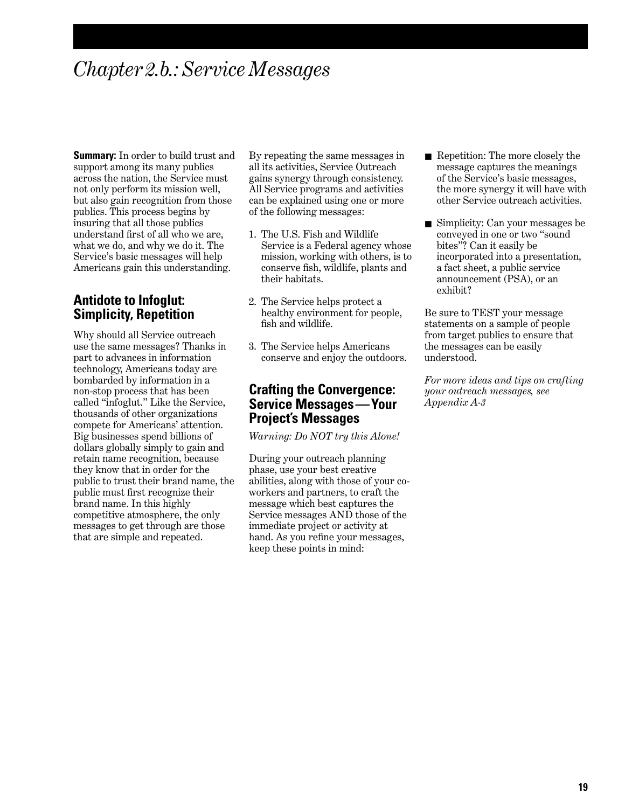## *Chapter 2.b.: Service Messages*

**Summary:** In order to build trust and support among its many publics across the nation, the Service must not only perform its mission well, but also gain recognition from those publics. This process begins by insuring that all those publics understand first of all who we are, what we do, and why we do it. The Service's basic messages will help Americans gain this understanding.

### **Antidote to Infoglut: Simplicity, Repetition**

Why should all Service outreach use the same messages? Thanks in part to advances in information technology, Americans today are bombarded by information in a non-stop process that has been called "infoglut." Like the Service, thousands of other organizations compete for Americans' attention. Big businesses spend billions of dollars globally simply to gain and retain name recognition, because they know that in order for the public to trust their brand name, the public must first recognize their brand name. In this highly competitive atmosphere, the only messages to get through are those that are simple and repeated.

By repeating the same messages in all its activities, Service Outreach gains synergy through consistency. All Service programs and activities can be explained using one or more of the following messages:

- 1. The U.S. Fish and Wildlife Service is a Federal agency whose mission, working with others, is to conserve fish, wildlife, plants and their habitats.
- 2. The Service helps protect a healthy environment for people, fish and wildlife.
- 3. The Service helps Americans conserve and enjoy the outdoors.

### **Crafting the Convergence: Service Messages—Your Project's Messages**

*Warning: Do NOT try this Alone!*

During your outreach planning phase, use your best creative abilities, along with those of your coworkers and partners, to craft the message which best captures the Service messages AND those of the immediate project or activity at hand. As you refine your messages, keep these points in mind:

- Repetition: The more closely the message captures the meanings of the Service's basic messages, the more synergy it will have with other Service outreach activities.
- Simplicity: Can your messages be conveyed in one or two "sound bites"? Can it easily be incorporated into a presentation, a fact sheet, a public service announcement (PSA), or an exhibit?

Be sure to TEST your message statements on a sample of people from target publics to ensure that the messages can be easily understood.

*For more ideas and tips on crafting your outreach messages, see Appendix A-3*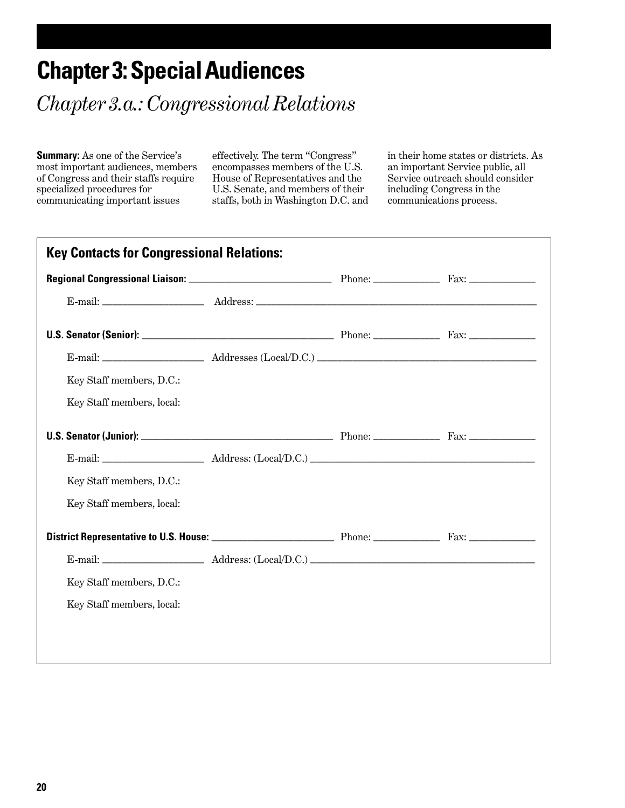## **Chapter 3: Special Audiences**

*Chapter 3.a.: Congressional Relations*

**Summary:** As one of the Service's most important audiences, members of Congress and their staffs require specialized procedures for communicating important issues

effectively. The term "Congress" encompasses members of the U.S. House of Representatives and the U.S. Senate, and members of their staffs, both in Washington D.C. and

in their home states or districts. As an important Service public, all Service outreach should consider including Congress in the communications process.

| Key Staff members, D.C.:  |  |  |
|---------------------------|--|--|
| Key Staff members, local: |  |  |
|                           |  |  |
|                           |  |  |
| Key Staff members, D.C.:  |  |  |
| Key Staff members, local: |  |  |
|                           |  |  |
|                           |  |  |
| Key Staff members, D.C.:  |  |  |
| Key Staff members, local: |  |  |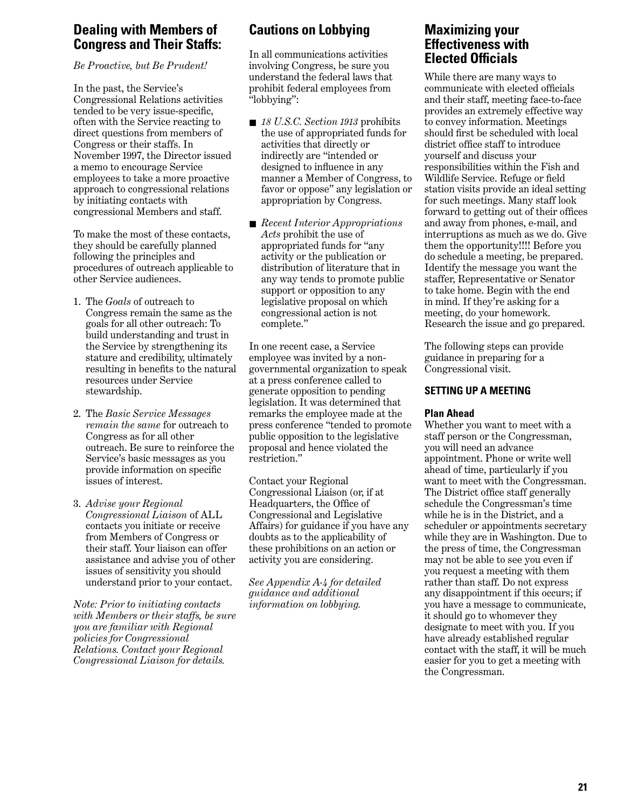## **Dealing with Members of Congress and Their Staffs:**

*Be Proactive, but Be Prudent!*

In the past, the Service's Congressional Relations activities tended to be very issue-specific, often with the Service reacting to direct questions from members of Congress or their staffs. In November 1997, the Director issued a memo to encourage Service employees to take a more proactive approach to congressional relations by initiating contacts with congressional Members and staff.

To make the most of these contacts, they should be carefully planned following the principles and procedures of outreach applicable to other Service audiences.

- 1. The *Goals* of outreach to Congress remain the same as the goals for all other outreach: To build understanding and trust in the Service by strengthening its stature and credibility, ultimately resulting in benefits to the natural resources under Service stewardship.
- 2. The *Basic Service Messages remain the same* for outreach to Congress as for all other outreach. Be sure to reinforce the Service's basic messages as you provide information on specific issues of interest.
- 3. *Advise your Regional Congressional Liaison* of ALL contacts you initiate or receive from Members of Congress or their staff. Your liaison can offer assistance and advise you of other issues of sensitivity you should understand prior to your contact.

*Note: Prior to initiating contacts with Members or their staffs, be sure you are familiar with Regional policies for Congressional Relations. Contact your Regional Congressional Liaison for details.*

## **Cautions on Lobbying**

In all communications activities involving Congress, be sure you understand the federal laws that prohibit federal employees from "lobbying":

- *18 U.S.C. Section 1913* prohibits the use of appropriated funds for activities that directly or indirectly are "intended or designed to influence in any manner a Member of Congress, to favor or oppose" any legislation or appropriation by Congress.
- *Recent Interior Appropriations Acts* prohibit the use of appropriated funds for "any activity or the publication or distribution of literature that in any way tends to promote public support or opposition to any legislative proposal on which congressional action is not complete."

In one recent case, a Service employee was invited by a nongovernmental organization to speak at a press conference called to generate opposition to pending legislation. It was determined that remarks the employee made at the press conference "tended to promote public opposition to the legislative proposal and hence violated the restriction."

Contact your Regional Congressional Liaison (or, if at Headquarters, the Office of Congressional and Legislative Affairs) for guidance if you have any doubts as to the applicability of these prohibitions on an action or activity you are considering.

*See Appendix A-4 for detailed guidance and additional information on lobbying.*

## **Maximizing your Effectiveness with Elected Officials**

While there are many ways to communicate with elected officials and their staff, meeting face-to-face provides an extremely effective way to convey information. Meetings should first be scheduled with local district office staff to introduce yourself and discuss your responsibilities within the Fish and Wildlife Service. Refuge or field station visits provide an ideal setting for such meetings. Many staff look forward to getting out of their offices and away from phones, e-mail, and interruptions as much as we do. Give them the opportunity!!!! Before you do schedule a meeting, be prepared. Identify the message you want the staffer, Representative or Senator to take home. Begin with the end in mind. If they're asking for a meeting, do your homework. Research the issue and go prepared.

The following steps can provide guidance in preparing for a Congressional visit.

#### **SETTING UP A MEETING**

#### **Plan Ahead**

Whether you want to meet with a staff person or the Congressman, you will need an advance appointment. Phone or write well ahead of time, particularly if you want to meet with the Congressman. The District office staff generally schedule the Congressman's time while he is in the District, and a scheduler or appointments secretary while they are in Washington. Due to the press of time, the Congressman may not be able to see you even if you request a meeting with them rather than staff. Do not express any disappointment if this occurs; if you have a message to communicate, it should go to whomever they designate to meet with you. If you have already established regular contact with the staff, it will be much easier for you to get a meeting with the Congressman.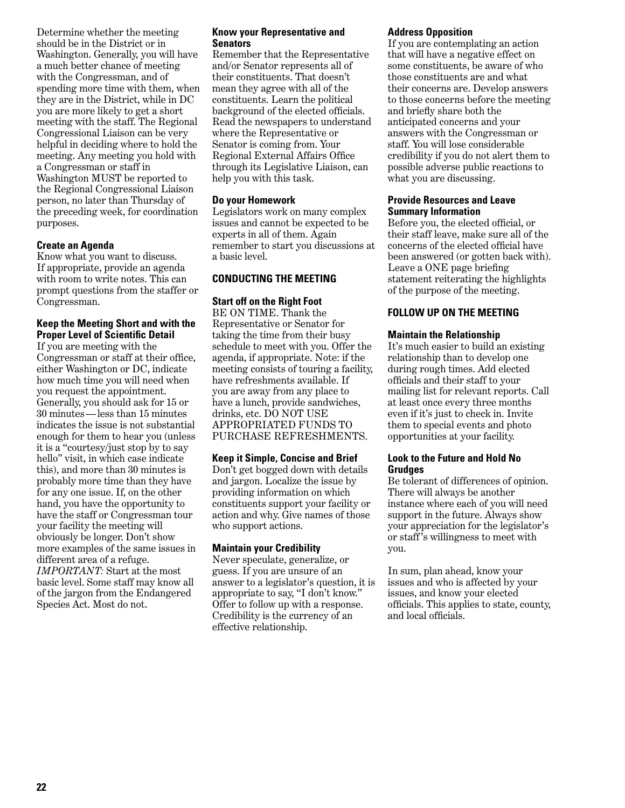Determine whether the meeting should be in the District or in Washington. Generally, you will have a much better chance of meeting with the Congressman, and of spending more time with them, when they are in the District, while in DC you are more likely to get a short meeting with the staff. The Regional Congressional Liaison can be very helpful in deciding where to hold the meeting. Any meeting you hold with a Congressman or staff in Washington MUST be reported to the Regional Congressional Liaison person, no later than Thursday of the preceding week, for coordination purposes.

#### **Create an Agenda**

Know what you want to discuss. If appropriate, provide an agenda with room to write notes. This can prompt questions from the staffer or Congressman.

#### **Keep the Meeting Short and with the Proper Level of Scientific Detail**

If you are meeting with the Congressman or staff at their office, either Washington or DC, indicate how much time you will need when you request the appointment. Generally, you should ask for 15 or 30 minutes — less than 15 minutes indicates the issue is not substantial enough for them to hear you (unless it is a "courtesy/just stop by to say hello" visit, in which case indicate this), and more than 30 minutes is probably more time than they have for any one issue. If, on the other hand, you have the opportunity to have the staff or Congressman tour your facility the meeting will obviously be longer. Don't show more examples of the same issues in different area of a refuge. *IMPORTANT:* Start at the most basic level. Some staff may know all of the jargon from the Endangered Species Act. Most do not.

#### **Know your Representative and Senators**

Remember that the Representative and/or Senator represents all of their constituents. That doesn't mean they agree with all of the constituents. Learn the political background of the elected officials. Read the newspapers to understand where the Representative or Senator is coming from. Your Regional External Affairs Office through its Legislative Liaison, can help you with this task.

#### **Do your Homework**

Legislators work on many complex issues and cannot be expected to be experts in all of them. Again remember to start you discussions at a basic level.

#### **CONDUCTING THE MEETING**

## **Start off on the Right Foot**

BE ON TIME. Thank the Representative or Senator for taking the time from their busy schedule to meet with you. Offer the agenda, if appropriate. Note: if the meeting consists of touring a facility, have refreshments available. If you are away from any place to have a lunch, provide sandwiches, drinks, etc. DO NOT USE APPROPRIATED FUNDS TO PURCHASE REFRESHMENTS.

#### **Keep it Simple, Concise and Brief**

Don't get bogged down with details and jargon. Localize the issue by providing information on which constituents support your facility or action and why. Give names of those who support actions.

#### **Maintain your Credibility**

Never speculate, generalize, or guess. If you are unsure of an answer to a legislator's question, it is appropriate to say, "I don't know." Offer to follow up with a response. Credibility is the currency of an effective relationship.

#### **Address Opposition**

If you are contemplating an action that will have a negative effect on some constituents, be aware of who those constituents are and what their concerns are. Develop answers to those concerns before the meeting and briefly share both the anticipated concerns and your answers with the Congressman or staff. You will lose considerable credibility if you do not alert them to possible adverse public reactions to what you are discussing.

#### **Provide Resources and Leave Summary Information**

Before you, the elected official, or their staff leave, make sure all of the concerns of the elected official have been answered (or gotten back with). Leave a ONE page briefing statement reiterating the highlights of the purpose of the meeting.

#### **FOLLOW UP ON THE MEETING**

#### **Maintain the Relationship**

It's much easier to build an existing relationship than to develop one during rough times. Add elected officials and their staff to your mailing list for relevant reports. Call at least once every three months even if it's just to check in. Invite them to special events and photo opportunities at your facility.

#### **Look to the Future and Hold No Grudges**

Be tolerant of differences of opinion. There will always be another instance where each of you will need support in the future. Always show your appreciation for the legislator's or staff 's willingness to meet with you.

In sum, plan ahead, know your issues and who is affected by your issues, and know your elected officials. This applies to state, county, and local officials.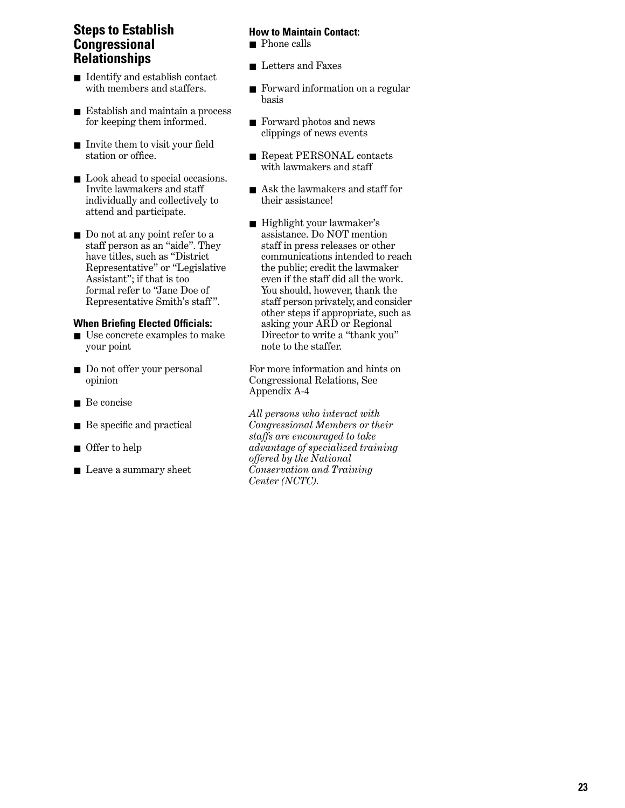## **Steps to Establish Congressional Relationships**

- Identify and establish contact with members and staffers.
- Establish and maintain a process for keeping them informed.
- Invite them to visit your field station or office.
- Look ahead to special occasions. Invite lawmakers and staff individually and collectively to attend and participate.
- Do not at any point refer to a staff person as an "aide". They have titles, such as "District Representative" or "Legislative Assistant"; if that is too formal refer to "Jane Doe of Representative Smith's staff ".

#### **When Briefing Elected Officials:**

- Use concrete examples to make your point
- Do not offer your personal opinion
- Be concise
- Be specific and practical
- Offer to help
- Leave a summary sheet

#### **How to Maintain Contact:**

- Phone calls
- Letters and Faxes
- Forward information on a regular basis
- Forward photos and news clippings of news events
- Repeat PERSONAL contacts with lawmakers and staff
- Ask the lawmakers and staff for their assistance!
- Highlight your lawmaker's assistance. Do NOT mention staff in press releases or other communications intended to reach the public; credit the lawmaker even if the staff did all the work. You should, however, thank the staff person privately, and consider other steps if appropriate, such as asking your ARD or Regional Director to write a "thank you" note to the staffer.

For more information and hints on Congressional Relations, See Appendix A-4

*All persons who interact with Congressional Members or their staffs are encouraged to take advantage of specialized training offered by the National Conservation and Training Center (NCTC).*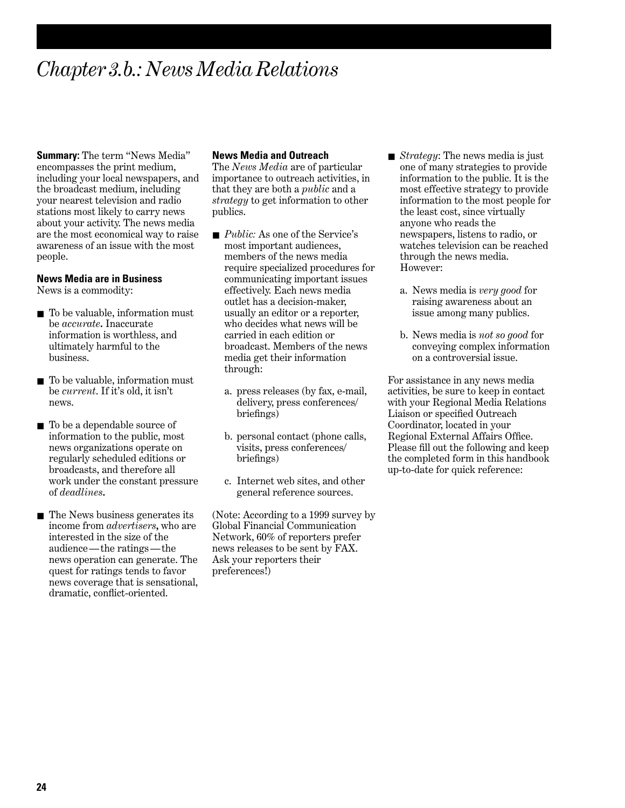## *Chapter 3.b.: News Media Relations*

**Summary:** The term "News Media" encompasses the print medium, including your local newspapers, and the broadcast medium, including your nearest television and radio stations most likely to carry news about your activity. The news media are the most economical way to raise awareness of an issue with the most people.

#### **News Media are in Business**

News is a commodity:

- To be valuable, information must be *accurate***.** Inaccurate information is worthless, and ultimately harmful to the business.
- To be valuable, information must be *current*. If it's old, it isn't news.
- To be a dependable source of information to the public, most news organizations operate on regularly scheduled editions or broadcasts, and therefore all work under the constant pressure of *deadlines***.**
- The News business generates its income from *advertisers***,** who are interested in the size of the audience — the ratings — the news operation can generate. The quest for ratings tends to favor news coverage that is sensational, dramatic, conflict-oriented.

#### **News Media and Outreach**

The *News Media* are of particular importance to outreach activities, in that they are both a *public* and a *strategy* to get information to other publics.

- *Public:* As one of the Service's most important audiences, members of the news media require specialized procedures for communicating important issues effectively. Each news media outlet has a decision-maker, usually an editor or a reporter, who decides what news will be carried in each edition or broadcast. Members of the news media get their information through:
	- a. press releases (by fax, e-mail, delivery, press conferences/ briefings)
	- b. personal contact (phone calls, visits, press conferences/ briefings)
	- c. Internet web sites, and other general reference sources.

(Note: According to a 1999 survey by Global Financial Communication Network, 60% of reporters prefer news releases to be sent by FAX. Ask your reporters their preferences!)

- *Strategy*: The news media is just one of many strategies to provide information to the public. It is the most effective strategy to provide information to the most people for the least cost, since virtually anyone who reads the newspapers, listens to radio, or watches television can be reached through the news media. However:
	- a. News media is *very good* for raising awareness about an issue among many publics.
	- b. News media is *not so good* for conveying complex information on a controversial issue.

For assistance in any news media activities, be sure to keep in contact with your Regional Media Relations Liaison or specified Outreach Coordinator, located in your Regional External Affairs Office. Please fill out the following and keep the completed form in this handbook up-to-date for quick reference: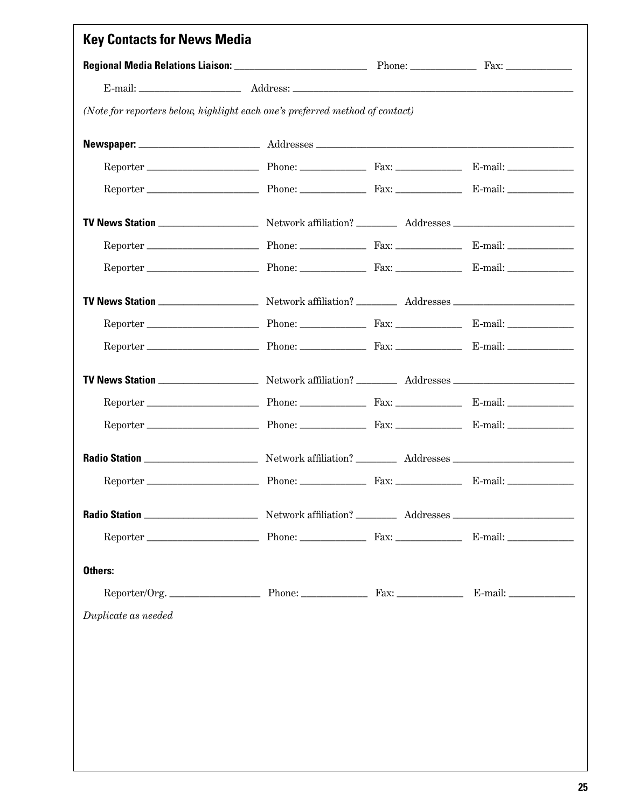|                     | (Note for reporters below, highlight each one's preferred method of contact) |  |
|---------------------|------------------------------------------------------------------------------|--|
|                     |                                                                              |  |
|                     |                                                                              |  |
|                     |                                                                              |  |
|                     |                                                                              |  |
|                     |                                                                              |  |
|                     |                                                                              |  |
|                     |                                                                              |  |
|                     |                                                                              |  |
|                     |                                                                              |  |
|                     |                                                                              |  |
|                     |                                                                              |  |
|                     |                                                                              |  |
|                     |                                                                              |  |
|                     |                                                                              |  |
|                     |                                                                              |  |
|                     |                                                                              |  |
| Others:             |                                                                              |  |
|                     | Reporter/Org. Phone: Phone: Fax: Fax: E-mail: __________                     |  |
| Duplicate as needed |                                                                              |  |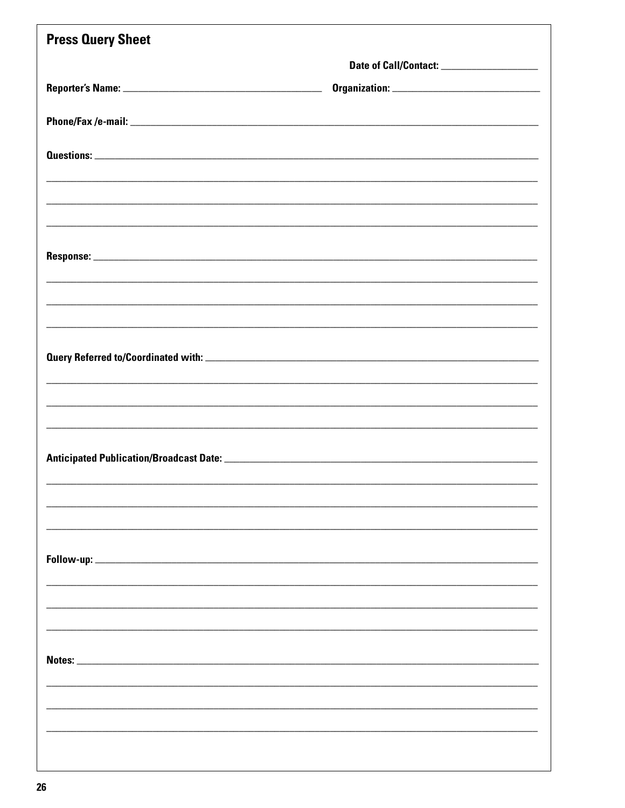| <b>Press Query Sheet</b> |  |
|--------------------------|--|
|                          |  |
|                          |  |
|                          |  |
|                          |  |
|                          |  |
|                          |  |
|                          |  |
|                          |  |
|                          |  |
|                          |  |
|                          |  |
|                          |  |
|                          |  |
|                          |  |
|                          |  |
|                          |  |
|                          |  |
|                          |  |
|                          |  |
|                          |  |
|                          |  |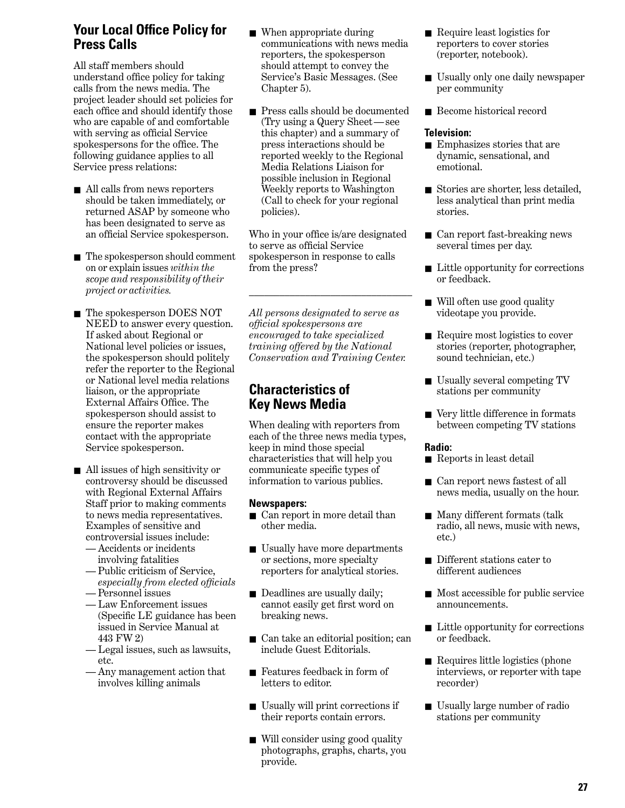## **Your Local Office Policy for Press Calls**

All staff members should understand office policy for taking calls from the news media. The project leader should set policies for each office and should identify those who are capable of and comfortable with serving as official Service spokespersons for the office. The following guidance applies to all Service press relations:

- All calls from news reporters should be taken immediately, or returned ASAP by someone who has been designated to serve as an official Service spokesperson.
- The spokesperson should comment on or explain issues *within the scope and responsibility of their project or activities.*
- The spokesperson DOES NOT NEED to answer every question. If asked about Regional or National level policies or issues, the spokesperson should politely refer the reporter to the Regional or National level media relations liaison, or the appropriate External Affairs Office. The spokesperson should assist to ensure the reporter makes contact with the appropriate Service spokesperson.
- All issues of high sensitivity or controversy should be discussed with Regional External Affairs Staff prior to making comments to news media representatives. Examples of sensitive and controversial issues include:
	- Accidents or incidents involving fatalities
	- Public criticism of Service, *especially from elected officials*
	- Personnel issues
	- Law Enforcement issues (Specific LE guidance has been issued in Service Manual at 443 FW 2)
	- Legal issues, such as lawsuits, etc.
	- Any management action that involves killing animals
- When appropriate during communications with news media reporters, the spokesperson should attempt to convey the Service's Basic Messages. (See Chapter 5).
- Press calls should be documented (Try using a Query Sheet — see this chapter) and a summary of press interactions should be reported weekly to the Regional Media Relations Liaison for possible inclusion in Regional Weekly reports to Washington (Call to check for your regional policies).

Who in your office is/are designated to serve as official Service spokesperson in response to calls from the press?

\_\_\_\_\_\_\_\_\_\_\_\_\_\_\_\_\_\_\_\_\_\_\_\_\_\_\_\_\_\_\_\_

*All persons designated to serve as official spokespersons are encouraged to take specialized training offered by the National Conservation and Training Center.*

## **Characteristics of Key News Media**

When dealing with reporters from each of the three news media types, keep in mind those special characteristics that will help you communicate specific types of information to various publics.

#### **Newspapers:**

- Can report in more detail than other media.
- Usually have more departments or sections, more specialty reporters for analytical stories.
- Deadlines are usually daily; cannot easily get first word on breaking news.
- Can take an editorial position; can include Guest Editorials.
- Features feedback in form of letters to editor.
- Usually will print corrections if their reports contain errors.
- Will consider using good quality photographs, graphs, charts, you provide.
- Require least logistics for reporters to cover stories (reporter, notebook).
- Usually only one daily newspaper per community
- Become historical record

#### **Television:**

- Emphasizes stories that are dynamic, sensational, and emotional.
- Stories are shorter, less detailed, less analytical than print media stories.
- Can report fast-breaking news several times per day.
- Little opportunity for corrections or feedback.
- Will often use good quality videotape you provide.
- Require most logistics to cover stories (reporter, photographer, sound technician, etc.)
- Usually several competing TV stations per community
- Very little difference in formats between competing TV stations

#### **Radio:**

- Reports in least detail
- Can report news fastest of all news media, usually on the hour.
- Many different formats (talk radio, all news, music with news, etc.)
- Different stations cater to different audiences
- Most accessible for public service announcements.
- Little opportunity for corrections or feedback.
- Requires little logistics (phone interviews, or reporter with tape recorder)
- Usually large number of radio stations per community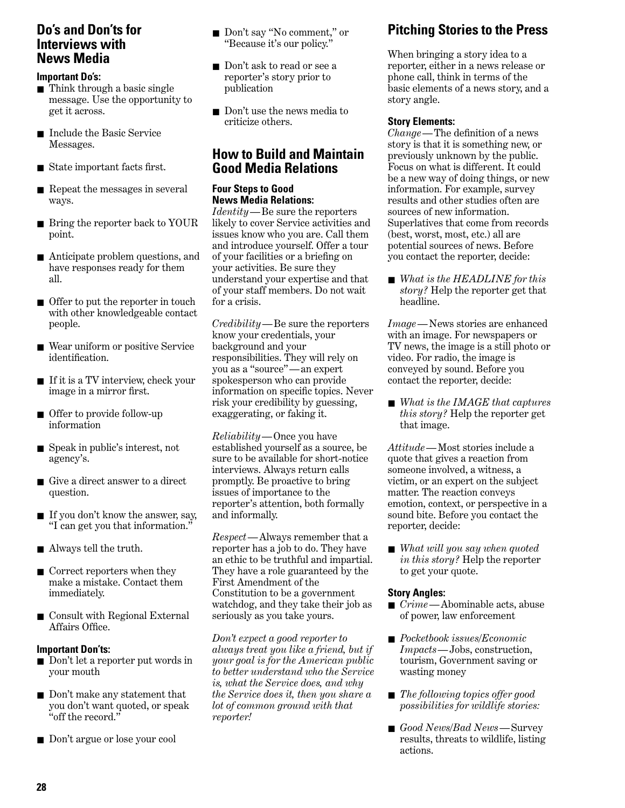## **Do's and Don'ts for Interviews with News Media**

#### **Important Do's:**

- Think through a basic single message. Use the opportunity to get it across.
- Include the Basic Service Messages.
- State important facts first.
- Repeat the messages in several ways.
- Bring the reporter back to YOUR point.
- Anticipate problem questions, and have responses ready for them all.
- Offer to put the reporter in touch with other knowledgeable contact people.
- Wear uniform or positive Service identification.
- If it is a TV interview, check your image in a mirror first.
- Offer to provide follow-up information
- Speak in public's interest, not agency's.
- Give a direct answer to a direct question.
- If you don't know the answer, say, "I can get you that information."
- Always tell the truth.
- Correct reporters when they make a mistake. Contact them immediately.
- Consult with Regional External Affairs Office.

#### **Important Don'ts:**

- Don't let a reporter put words in your mouth
- Don't make any statement that you don't want quoted, or speak "off the record."
- Don't argue or lose your cool
- Don't say "No comment," or "Because it's our policy."
- Don't ask to read or see a reporter's story prior to publication
- Don't use the news media to criticize others.

## **How to Build and Maintain Good Media Relations**

#### **Four Steps to Good News Media Relations:**

*Identity*—Be sure the reporters likely to cover Service activities and issues know who you are. Call them and introduce yourself. Offer a tour of your facilities or a briefing on your activities. Be sure they understand your expertise and that of your staff members. Do not wait for a crisis.

*Credibility*—Be sure the reporters know your credentials, your background and your responsibilities. They will rely on you as a "source" — an expert spokesperson who can provide information on specific topics. Never risk your credibility by guessing, exaggerating, or faking it.

*Reliability*—Once you have established yourself as a source, be sure to be available for short-notice interviews. Always return calls promptly. Be proactive to bring issues of importance to the reporter's attention, both formally and informally.

*Respect*—Always remember that a reporter has a job to do. They have an ethic to be truthful and impartial. They have a role guaranteed by the First Amendment of the Constitution to be a government watchdog, and they take their job as seriously as you take yours.

*Don't expect a good reporter to always treat you like a friend, but if your goal is for the American public to better understand who the Service is, what the Service does, and why the Service does it, then you share a lot of common ground with that reporter!*

## **Pitching Stories to the Press**

When bringing a story idea to a reporter, either in a news release or phone call, think in terms of the basic elements of a news story, and a story angle.

#### **Story Elements:**

*Change*—The definition of a news story is that it is something new, or previously unknown by the public. Focus on what is different. It could be a new way of doing things, or new information. For example, survey results and other studies often are sources of new information. Superlatives that come from records (best, worst, most, etc.) all are potential sources of news. Before you contact the reporter, decide:

■ *What is the HEADLINE for this story?* Help the reporter get that headline.

*Image*—News stories are enhanced with an image. For newspapers or TV news, the image is a still photo or video. For radio, the image is conveyed by sound. Before you contact the reporter, decide:

■ *What is the IMAGE that captures this story?* Help the reporter get that image.

*Attitude*— Most stories include a quote that gives a reaction from someone involved, a witness, a victim, or an expert on the subject matter. The reaction conveys emotion, context, or perspective in a sound bite. Before you contact the reporter, decide:

■ *What will you say when quoted in this story?* Help the reporter to get your quote.

#### **Story Angles:**

- *Crime*—Abominable acts, abuse of power, law enforcement
- *Pocketbook issues/Economic Impacts*—Jobs, construction, tourism, Government saving or wasting money
- *The following topics offer good possibilities for wildlife stories:*
- *Good News/Bad News*—Survey results, threats to wildlife, listing actions.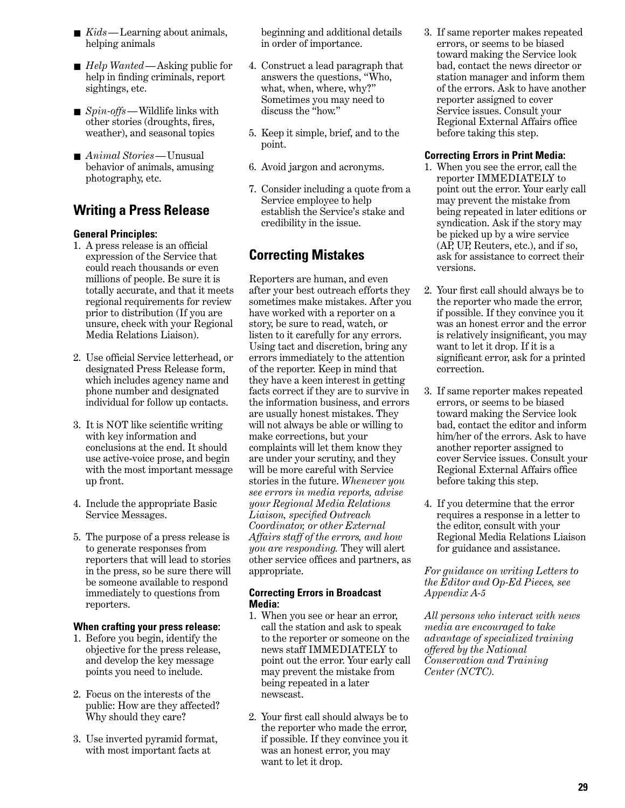- *Kids* Learning about animals, helping animals
- *Help Wanted*—Asking public for help in finding criminals, report sightings, etc.
- *Spin-offs* Wildlife links with other stories (droughts, fires, weather), and seasonal topics
- *Animal Stories*—Unusual behavior of animals, amusing photography, etc.

## **Writing a Press Release**

#### **General Principles:**

- 1. A press release is an official expression of the Service that could reach thousands or even millions of people. Be sure it is totally accurate, and that it meets regional requirements for review prior to distribution (If you are unsure, check with your Regional Media Relations Liaison).
- 2. Use official Service letterhead, or designated Press Release form, which includes agency name and phone number and designated individual for follow up contacts.
- 3. It is NOT like scientific writing with key information and conclusions at the end. It should use active-voice prose, and begin with the most important message up front.
- 4. Include the appropriate Basic Service Messages.
- 5. The purpose of a press release is to generate responses from reporters that will lead to stories in the press, so be sure there will be someone available to respond immediately to questions from reporters.

#### **When crafting your press release:**

- 1. Before you begin, identify the objective for the press release, and develop the key message points you need to include.
- 2. Focus on the interests of the public: How are they affected? Why should they care?
- 3. Use inverted pyramid format, with most important facts at

beginning and additional details in order of importance.

- 4. Construct a lead paragraph that answers the questions, "Who, what, when, where, why?" Sometimes you may need to discuss the "how."
- 5. Keep it simple, brief, and to the point.
- 6. Avoid jargon and acronyms.
- 7. Consider including a quote from a Service employee to help establish the Service's stake and credibility in the issue.

## **Correcting Mistakes**

Reporters are human, and even after your best outreach efforts they sometimes make mistakes. After you have worked with a reporter on a story, be sure to read, watch, or listen to it carefully for any errors. Using tact and discretion, bring any errors immediately to the attention of the reporter. Keep in mind that they have a keen interest in getting facts correct if they are to survive in the information business, and errors are usually honest mistakes. They will not always be able or willing to make corrections, but your complaints will let them know they are under your scrutiny, and they will be more careful with Service stories in the future. *Whenever you see errors in media reports, advise your Regional Media Relations Liaison, specified Outreach Coordinator, or other External Affairs staff of the errors, and how you are responding.* They will alert other service offices and partners, as appropriate.

#### **Correcting Errors in Broadcast Media:**

- 1. When you see or hear an error, call the station and ask to speak to the reporter or someone on the news staff IMMEDIATELY to point out the error. Your early call may prevent the mistake from being repeated in a later newscast.
- 2. Your first call should always be to the reporter who made the error, if possible. If they convince you it was an honest error, you may want to let it drop.

3. If same reporter makes repeated errors, or seems to be biased toward making the Service look bad, contact the news director or station manager and inform them of the errors. Ask to have another reporter assigned to cover Service issues. Consult your Regional External Affairs office before taking this step.

#### **Correcting Errors in Print Media:**

- 1. When you see the error, call the reporter IMMEDIATELY to point out the error. Your early call may prevent the mistake from being repeated in later editions or syndication. Ask if the story may be picked up by a wire service (AP, UP, Reuters, etc.), and if so, ask for assistance to correct their versions.
- 2. Your first call should always be to the reporter who made the error, if possible. If they convince you it was an honest error and the error is relatively insignificant, you may want to let it drop. If it is a significant error, ask for a printed correction.
- 3. If same reporter makes repeated errors, or seems to be biased toward making the Service look bad, contact the editor and inform him/her of the errors. Ask to have another reporter assigned to cover Service issues. Consult your Regional External Affairs office before taking this step.
- 4. If you determine that the error requires a response in a letter to the editor, consult with your Regional Media Relations Liaison for guidance and assistance.

*For guidance on writing Letters to the Editor and Op-Ed Pieces, see Appendix A-5*

*All persons who interact with news media are encouraged to take advantage of specialized training offered by the National Conservation and Training Center (NCTC).*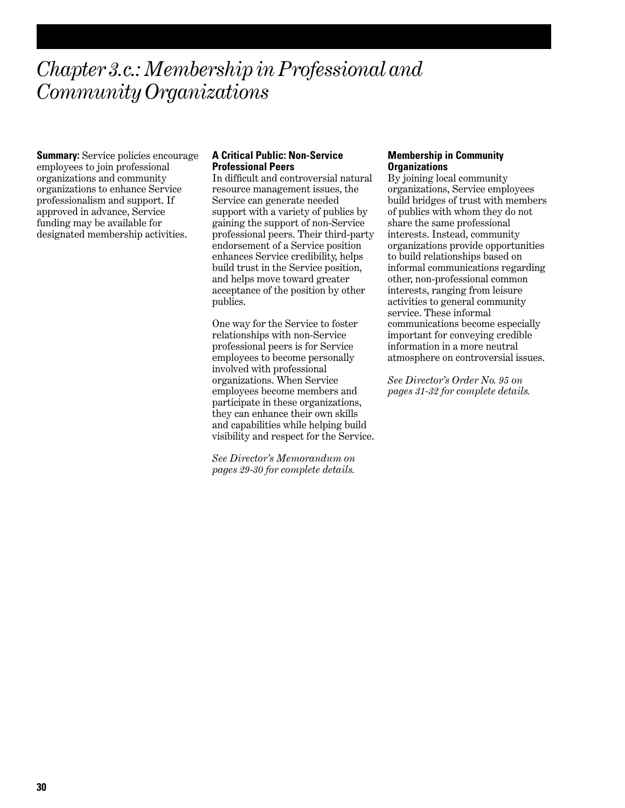## *Chapter 3.c.: Membership in Professional and Community Organizations*

**Summary:** Service policies encourage employees to join professional organizations and community organizations to enhance Service professionalism and support. If approved in advance, Service funding may be available for designated membership activities.

#### **A Critical Public: Non-Service Professional Peers**

In difficult and controversial natural resource management issues, the Service can generate needed support with a variety of publics by gaining the support of non-Service professional peers. Their third-party endorsement of a Service position enhances Service credibility, helps build trust in the Service position, and helps move toward greater acceptance of the position by other publics.

One way for the Service to foster relationships with non-Service professional peers is for Service employees to become personally involved with professional organizations. When Service employees become members and participate in these organizations, they can enhance their own skills and capabilities while helping build visibility and respect for the Service.

*See Director's Memorandum on pages 29-30 for complete details.*

#### **Membership in Community Organizations**

By joining local community organizations, Service employees build bridges of trust with members of publics with whom they do not share the same professional interests. Instead, community organizations provide opportunities to build relationships based on informal communications regarding other, non-professional common interests, ranging from leisure activities to general community service. These informal communications become especially important for conveying credible information in a more neutral atmosphere on controversial issues.

*See Director's Order No. 95 on pages 31-32 for complete details.*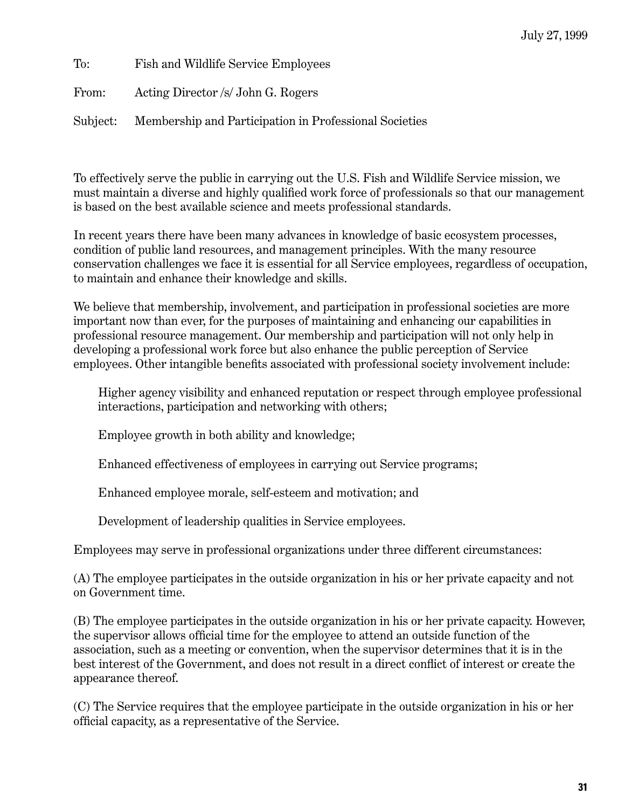To: Fish and Wildlife Service Employees From: Acting Director /s/ John G. Rogers Subject: Membership and Participation in Professional Societies

To effectively serve the public in carrying out the U.S. Fish and Wildlife Service mission, we must maintain a diverse and highly qualified work force of professionals so that our management is based on the best available science and meets professional standards.

In recent years there have been many advances in knowledge of basic ecosystem processes, condition of public land resources, and management principles. With the many resource conservation challenges we face it is essential for all Service employees, regardless of occupation, to maintain and enhance their knowledge and skills.

We believe that membership, involvement, and participation in professional societies are more important now than ever, for the purposes of maintaining and enhancing our capabilities in professional resource management. Our membership and participation will not only help in developing a professional work force but also enhance the public perception of Service employees. Other intangible benefits associated with professional society involvement include:

Higher agency visibility and enhanced reputation or respect through employee professional interactions, participation and networking with others;

Employee growth in both ability and knowledge;

Enhanced effectiveness of employees in carrying out Service programs;

Enhanced employee morale, self-esteem and motivation; and

Development of leadership qualities in Service employees.

Employees may serve in professional organizations under three different circumstances:

(A) The employee participates in the outside organization in his or her private capacity and not on Government time.

(B) The employee participates in the outside organization in his or her private capacity. However, the supervisor allows official time for the employee to attend an outside function of the association, such as a meeting or convention, when the supervisor determines that it is in the best interest of the Government, and does not result in a direct conflict of interest or create the appearance thereof.

(C) The Service requires that the employee participate in the outside organization in his or her official capacity, as a representative of the Service.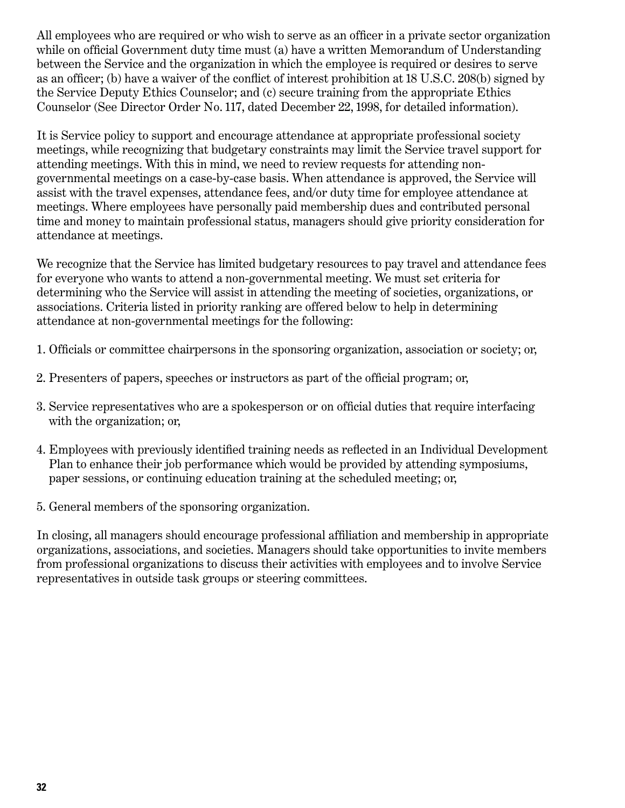All employees who are required or who wish to serve as an officer in a private sector organization while on official Government duty time must (a) have a written Memorandum of Understanding between the Service and the organization in which the employee is required or desires to serve as an officer; (b) have a waiver of the conflict of interest prohibition at 18 U.S.C. 208(b) signed by the Service Deputy Ethics Counselor; and (c) secure training from the appropriate Ethics Counselor (See Director Order No. 117, dated December 22, 1998, for detailed information).

It is Service policy to support and encourage attendance at appropriate professional society meetings, while recognizing that budgetary constraints may limit the Service travel support for attending meetings. With this in mind, we need to review requests for attending nongovernmental meetings on a case-by-case basis. When attendance is approved, the Service will assist with the travel expenses, attendance fees, and/or duty time for employee attendance at meetings. Where employees have personally paid membership dues and contributed personal time and money to maintain professional status, managers should give priority consideration for attendance at meetings.

We recognize that the Service has limited budgetary resources to pay travel and attendance fees for everyone who wants to attend a non-governmental meeting. We must set criteria for determining who the Service will assist in attending the meeting of societies, organizations, or associations. Criteria listed in priority ranking are offered below to help in determining attendance at non-governmental meetings for the following:

- 1. Officials or committee chairpersons in the sponsoring organization, association or society; or,
- 2. Presenters of papers, speeches or instructors as part of the official program; or,
- 3. Service representatives who are a spokesperson or on official duties that require interfacing with the organization; or,
- 4. Employees with previously identified training needs as reflected in an Individual Development Plan to enhance their job performance which would be provided by attending symposiums, paper sessions, or continuing education training at the scheduled meeting; or,
- 5. General members of the sponsoring organization.

In closing, all managers should encourage professional affiliation and membership in appropriate organizations, associations, and societies. Managers should take opportunities to invite members from professional organizations to discuss their activities with employees and to involve Service representatives in outside task groups or steering committees.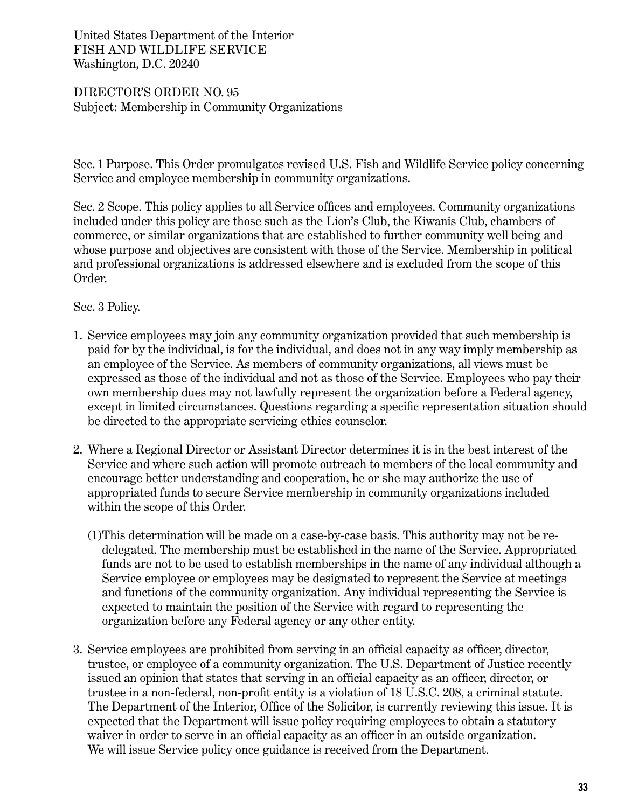### United States Department of the Interior FISH AND WILDLIFE SERVICE Washington, D.C. 20240

### DIRECTOR'S ORDER NO. 95 Subject: Membership in Community Organizations

Sec. 1 Purpose. This Order promulgates revised U.S. Fish and Wildlife Service policy concerning Service and employee membership in community organizations.

Sec. 2 Scope. This policy applies to all Service offices and employees. Community organizations included under this policy are those such as the Lion's Club, the Kiwanis Club, chambers of commerce, or similar organizations that are established to further community well being and whose purpose and objectives are consistent with those of the Service. Membership in political and professional organizations is addressed elsewhere and is excluded from the scope of this Order.

## Sec. 3 Policy.

- 1. Service employees may join any community organization provided that such membership is paid for by the individual, is for the individual, and does not in any way imply membership as an employee of the Service. As members of community organizations, all views must be expressed as those of the individual and not as those of the Service. Employees who pay their own membership dues may not lawfully represent the organization before a Federal agency, except in limited circumstances. Questions regarding a specific representation situation should be directed to the appropriate servicing ethics counselor.
- 2. Where a Regional Director or Assistant Director determines it is in the best interest of the Service and where such action will promote outreach to members of the local community and encourage better understanding and cooperation, he or she may authorize the use of appropriated funds to secure Service membership in community organizations included within the scope of this Order.
	- (1)This determination will be made on a case-by-case basis. This authority may not be redelegated. The membership must be established in the name of the Service. Appropriated funds are not to be used to establish memberships in the name of any individual although a Service employee or employees may be designated to represent the Service at meetings and functions of the community organization. Any individual representing the Service is expected to maintain the position of the Service with regard to representing the organization before any Federal agency or any other entity.
- 3. Service employees are prohibited from serving in an official capacity as officer, director, trustee, or employee of a community organization. The U.S. Department of Justice recently issued an opinion that states that serving in an official capacity as an officer, director, or trustee in a non-federal, non-profit entity is a violation of 18 U.S.C. 208, a criminal statute. The Department of the Interior, Office of the Solicitor, is currently reviewing this issue. It is expected that the Department will issue policy requiring employees to obtain a statutory waiver in order to serve in an official capacity as an officer in an outside organization. We will issue Service policy once guidance is received from the Department.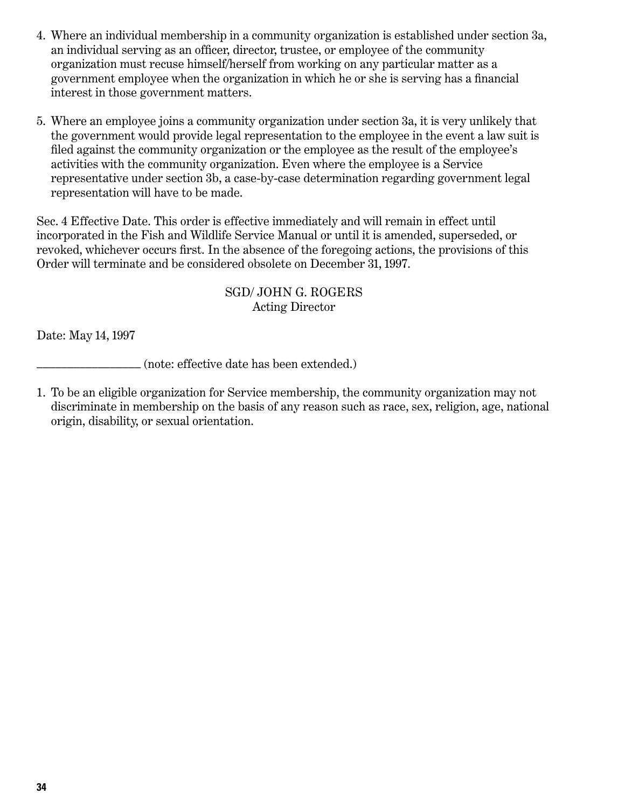- 4. Where an individual membership in a community organization is established under section 3a, an individual serving as an officer, director, trustee, or employee of the community organization must recuse himself/herself from working on any particular matter as a government employee when the organization in which he or she is serving has a financial interest in those government matters.
- 5. Where an employee joins a community organization under section 3a, it is very unlikely that the government would provide legal representation to the employee in the event a law suit is filed against the community organization or the employee as the result of the employee's activities with the community organization. Even where the employee is a Service representative under section 3b, a case-by-case determination regarding government legal representation will have to be made.

Sec. 4 Effective Date. This order is effective immediately and will remain in effect until incorporated in the Fish and Wildlife Service Manual or until it is amended, superseded, or revoked, whichever occurs first. In the absence of the foregoing actions, the provisions of this Order will terminate and be considered obsolete on December 31, 1997.

### SGD/ JOHN G. ROGERS Acting Director

Date: May 14, 1997

\_\_\_\_\_\_\_\_\_\_\_\_\_\_\_\_\_ (note: effective date has been extended.)

1. To be an eligible organization for Service membership, the community organization may not discriminate in membership on the basis of any reason such as race, sex, religion, age, national origin, disability, or sexual orientation.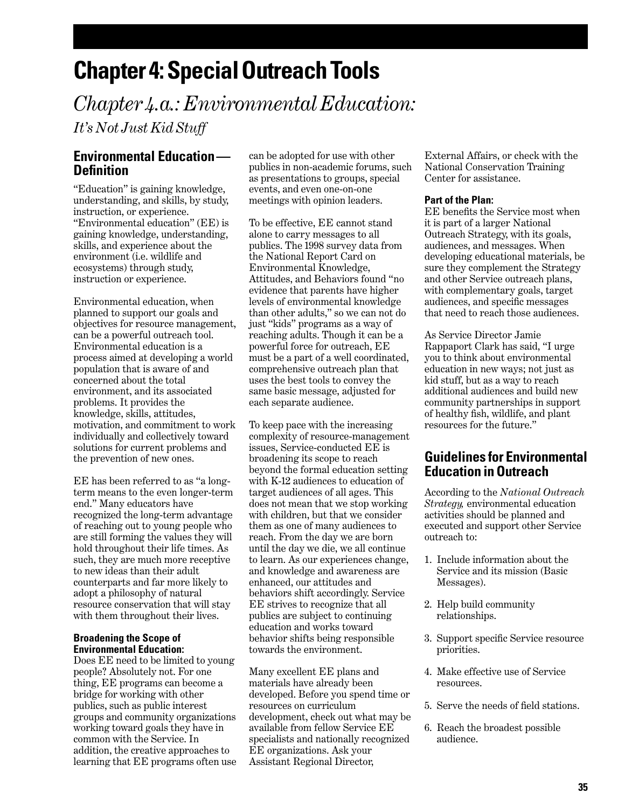## **Chapter 4: Special Outreach Tools**

*Chapter 4.a.: Environmental Education: It's Not Just Kid Stuff*

### **Environmental Education— Definition**

"Education" is gaining knowledge, understanding, and skills, by study, instruction, or experience. "Environmental education" (EE) is gaining knowledge, understanding, skills, and experience about the environment (i.e. wildlife and ecosystems) through study, instruction or experience.

Environmental education, when planned to support our goals and objectives for resource management, can be a powerful outreach tool. Environmental education is a process aimed at developing a world population that is aware of and concerned about the total environment, and its associated problems. It provides the knowledge, skills, attitudes, motivation, and commitment to work individually and collectively toward solutions for current problems and the prevention of new ones.

EE has been referred to as "a longterm means to the even longer-term end." Many educators have recognized the long-term advantage of reaching out to young people who are still forming the values they will hold throughout their life times. As such, they are much more receptive to new ideas than their adult counterparts and far more likely to adopt a philosophy of natural resource conservation that will stay with them throughout their lives.

#### **Broadening the Scope of Environmental Education:**

Does EE need to be limited to young people? Absolutely not. For one thing, EE programs can become a bridge for working with other publics, such as public interest groups and community organizations working toward goals they have in common with the Service. In addition, the creative approaches to learning that EE programs often use

can be adopted for use with other publics in non-academic forums, such as presentations to groups, special events, and even one-on-one meetings with opinion leaders.

To be effective, EE cannot stand alone to carry messages to all publics. The 1998 survey data from the National Report Card on Environmental Knowledge, Attitudes, and Behaviors found "no evidence that parents have higher levels of environmental knowledge than other adults," so we can not do just "kids" programs as a way of reaching adults. Though it can be a powerful force for outreach, EE must be a part of a well coordinated, comprehensive outreach plan that uses the best tools to convey the same basic message, adjusted for each separate audience.

To keep pace with the increasing complexity of resource-management issues, Service-conducted EE is broadening its scope to reach beyond the formal education setting with K-12 audiences to education of target audiences of all ages. This does not mean that we stop working with children, but that we consider them as one of many audiences to reach. From the day we are born until the day we die, we all continue to learn. As our experiences change, and knowledge and awareness are enhanced, our attitudes and behaviors shift accordingly. Service EE strives to recognize that all publics are subject to continuing education and works toward behavior shifts being responsible towards the environment.

Many excellent EE plans and materials have already been developed. Before you spend time or resources on curriculum development, check out what may be available from fellow Service EE specialists and nationally recognized EE organizations. Ask your Assistant Regional Director,

External Affairs, or check with the National Conservation Training Center for assistance.

#### **Part of the Plan:**

EE benefits the Service most when it is part of a larger National Outreach Strategy, with its goals, audiences, and messages. When developing educational materials, be sure they complement the Strategy and other Service outreach plans, with complementary goals, target audiences, and specific messages that need to reach those audiences.

As Service Director Jamie Rappaport Clark has said, "I urge you to think about environmental education in new ways; not just as kid stuff, but as a way to reach additional audiences and build new community partnerships in support of healthy fish, wildlife, and plant resources for the future."

## **Guidelines for Environmental Education in Outreach**

According to the *National Outreach Strategy,* environmental education activities should be planned and executed and support other Service outreach to:

- 1. Include information about the Service and its mission (Basic Messages).
- 2. Help build community relationships.
- 3. Support specific Service resource priorities.
- 4. Make effective use of Service resources.
- 5. Serve the needs of field stations.
- 6. Reach the broadest possible audience.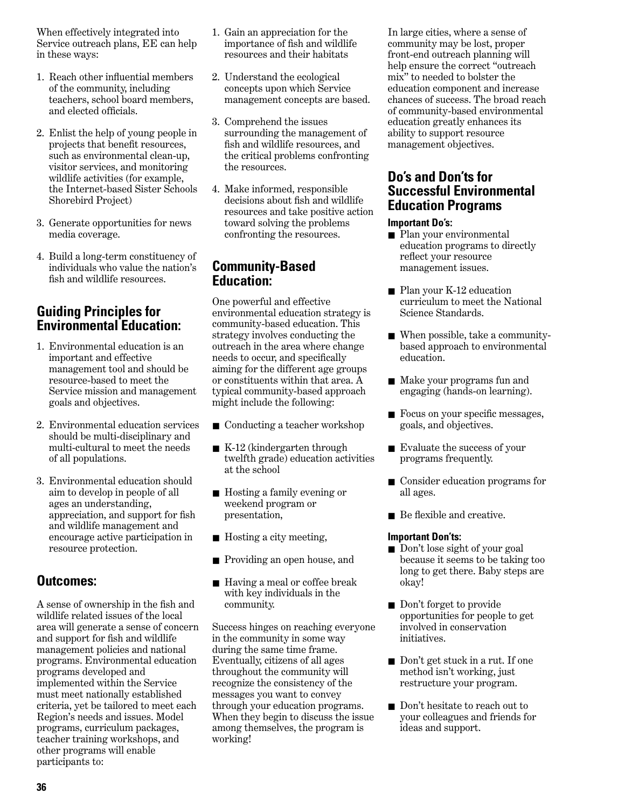When effectively integrated into Service outreach plans, EE can help in these ways:

- 1. Reach other influential members of the community, including teachers, school board members, and elected officials.
- 2. Enlist the help of young people in projects that benefit resources, such as environmental clean-up, visitor services, and monitoring wildlife activities (for example, the Internet-based Sister Schools Shorebird Project)
- 3. Generate opportunities for news media coverage.
- 4. Build a long-term constituency of individuals who value the nation's fish and wildlife resources.

## **Guiding Principles for Environmental Education:**

- 1. Environmental education is an important and effective management tool and should be resource-based to meet the Service mission and management goals and objectives.
- 2. Environmental education services should be multi-disciplinary and multi-cultural to meet the needs of all populations.
- 3. Environmental education should aim to develop in people of all ages an understanding, appreciation, and support for fish and wildlife management and encourage active participation in resource protection.

## **Outcomes:**

A sense of ownership in the fish and wildlife related issues of the local area will generate a sense of concern and support for fish and wildlife management policies and national programs. Environmental education programs developed and implemented within the Service must meet nationally established criteria, yet be tailored to meet each Region's needs and issues. Model programs, curriculum packages, teacher training workshops, and other programs will enable participants to:

- 1. Gain an appreciation for the importance of fish and wildlife resources and their habitats
- 2. Understand the ecological concepts upon which Service management concepts are based.
- 3. Comprehend the issues surrounding the management of fish and wildlife resources, and the critical problems confronting the resources.
- 4. Make informed, responsible decisions about fish and wildlife resources and take positive action toward solving the problems confronting the resources.

### **Community-Based Education:**

One powerful and effective environmental education strategy is community-based education. This strategy involves conducting the outreach in the area where change needs to occur, and specifically aiming for the different age groups or constituents within that area. A typical community-based approach might include the following:

- Conducting a teacher workshop
- K-12 (kindergarten through twelfth grade) education activities at the school
- Hosting a family evening or weekend program or presentation,
- Hosting a city meeting,
- Providing an open house, and
- Having a meal or coffee break with key individuals in the community.

Success hinges on reaching everyone in the community in some way during the same time frame. Eventually, citizens of all ages throughout the community will recognize the consistency of the messages you want to convey through your education programs. When they begin to discuss the issue among themselves, the program is working!

In large cities, where a sense of community may be lost, proper front-end outreach planning will help ensure the correct "outreach mix" to needed to bolster the education component and increase chances of success. The broad reach of community-based environmental education greatly enhances its ability to support resource management objectives.

### **Do's and Don'ts for Successful Environmental Education Programs**

#### **Important Do's:**

- Plan your environmental education programs to directly reflect your resource management issues.
- Plan your K-12 education curriculum to meet the National Science Standards.
- When possible, take a communitybased approach to environmental education.
- Make your programs fun and engaging (hands-on learning).
- Focus on your specific messages, goals, and objectives.
- Evaluate the success of your programs frequently.
- Consider education programs for all ages.
- Be flexible and creative.

#### **Important Don'ts:**

- Don't lose sight of your goal because it seems to be taking too long to get there. Baby steps are okay!
- Don't forget to provide opportunities for people to get involved in conservation initiatives.
- Don't get stuck in a rut. If one method isn't working, just restructure your program.
- Don't hesitate to reach out to your colleagues and friends for ideas and support.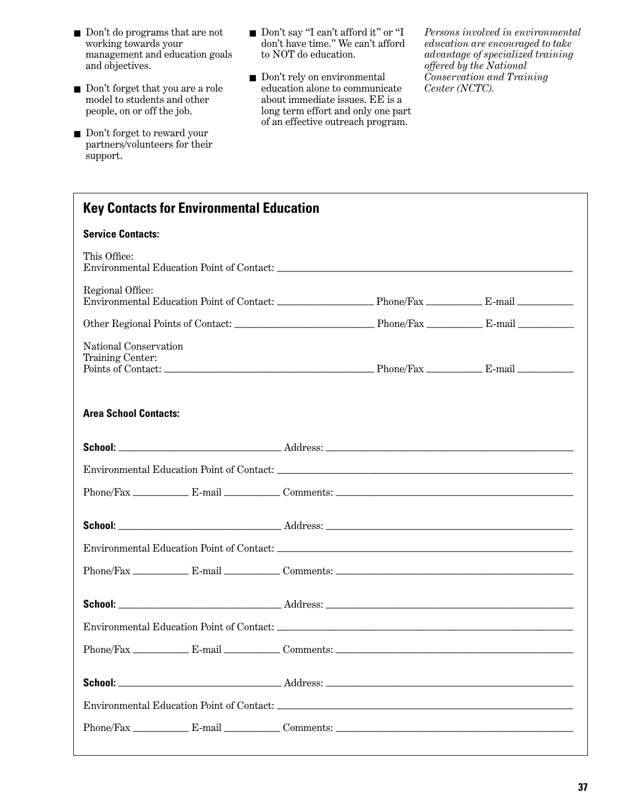- Don't do programs that are not working towards your management and education goals and objectives.
- Don't forget that you are a role model to students and other people, on or off the job.
- Don't forget to reward your partners/volunteers for their support.
- Don't say "I can't afford it" or "I don't have time." We can't afford to NOT do education.
- Don't rely on environmental education alone to communicate about immediate issues. EE is a long term effort and only one part of an effective outreach program.

*Persons involved in environmental education are encouraged to take advantage of specialized training offered by the National Conservation and Training Center (NCTC).* 

| <b>Key Contacts for Environmental Education</b> |  |  |  |  |  |  |
|-------------------------------------------------|--|--|--|--|--|--|
| <b>Service Contacts:</b>                        |  |  |  |  |  |  |
| This Office:                                    |  |  |  |  |  |  |
| Regional Office:                                |  |  |  |  |  |  |
|                                                 |  |  |  |  |  |  |
| National Conservation<br>Training Center:       |  |  |  |  |  |  |
| <b>Area School Contacts:</b>                    |  |  |  |  |  |  |
|                                                 |  |  |  |  |  |  |
|                                                 |  |  |  |  |  |  |
|                                                 |  |  |  |  |  |  |
|                                                 |  |  |  |  |  |  |
|                                                 |  |  |  |  |  |  |
|                                                 |  |  |  |  |  |  |
|                                                 |  |  |  |  |  |  |
|                                                 |  |  |  |  |  |  |
|                                                 |  |  |  |  |  |  |
|                                                 |  |  |  |  |  |  |
|                                                 |  |  |  |  |  |  |
|                                                 |  |  |  |  |  |  |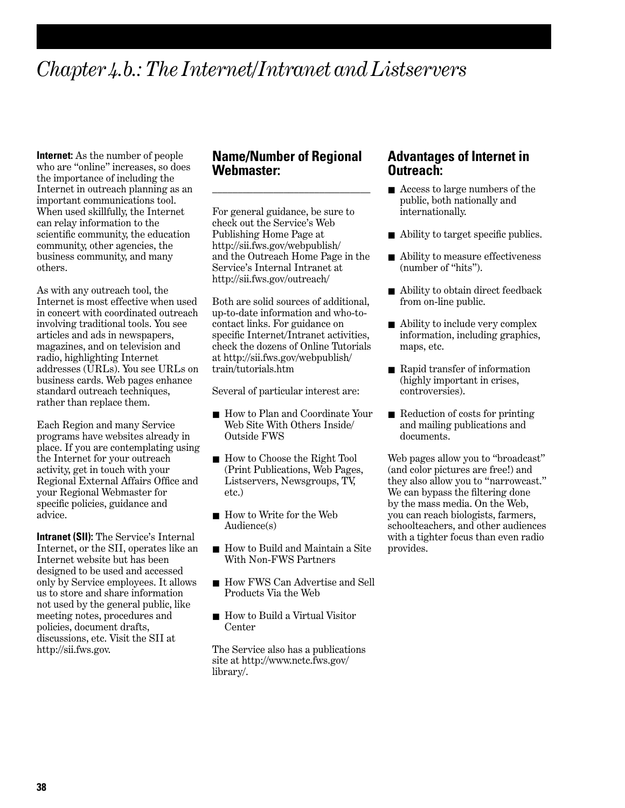## *Chapter 4.b.: The Internet/Intranet and Listservers*

**Internet:** As the number of people who are "online" increases, so does the importance of including the Internet in outreach planning as an important communications tool. When used skillfully, the Internet can relay information to the scientific community, the education community, other agencies, the business community, and many others.

As with any outreach tool, the Internet is most effective when used in concert with coordinated outreach involving traditional tools. You see articles and ads in newspapers, magazines, and on television and radio, highlighting Internet addresses (URLs). You see URLs on business cards. Web pages enhance standard outreach techniques, rather than replace them.

Each Region and many Service programs have websites already in place. If you are contemplating using the Internet for your outreach activity, get in touch with your Regional External Affairs Office and your Regional Webmaster for specific policies, guidance and advice.

**Intranet (SII):** The Service's Internal Internet, or the SII, operates like an Internet website but has been designed to be used and accessed only by Service employees. It allows us to store and share information not used by the general public, like meeting notes, procedures and policies, document drafts, discussions, etc. Visit the SII at http://sii.fws.gov.

### **Name/Number of Regional Webmaster:**

\_\_\_\_\_\_\_\_\_\_\_\_\_\_\_\_\_\_\_\_\_\_\_\_\_\_\_\_\_\_\_

For general guidance, be sure to check out the Service's Web Publishing Home Page at http://sii.fws.gov/webpublish/ and the Outreach Home Page in the Service's Internal Intranet at http://sii.fws.gov/outreach/

Both are solid sources of additional, up-to-date information and who-tocontact links. For guidance on specific Internet/Intranet activities, check the dozens of Online Tutorials at http://sii.fws.gov/webpublish/ train/tutorials.htm

Several of particular interest are:

- How to Plan and Coordinate Your Web Site With Others Inside/ Outside FWS
- How to Choose the Right Tool (Print Publications, Web Pages, Listservers, Newsgroups, TV, etc.)
- How to Write for the Web Audience(s)
- How to Build and Maintain a Site With Non-FWS Partners
- How FWS Can Advertise and Sell Products Via the Web
- How to Build a Virtual Visitor Center

The Service also has a publications site at http://www.nctc.fws.gov/ library/.

#### **Advantages of Internet in Outreach:**

- Access to large numbers of the public, both nationally and internationally.
- Ability to target specific publics.
- Ability to measure effectiveness (number of "hits").
- Ability to obtain direct feedback from on-line public.
- Ability to include very complex information, including graphics, maps, etc.
- Rapid transfer of information (highly important in crises, controversies).
- Reduction of costs for printing and mailing publications and documents.

Web pages allow you to "broadcast" (and color pictures are free!) and they also allow you to "narrowcast." We can bypass the filtering done by the mass media. On the Web, you can reach biologists, farmers, schoolteachers, and other audiences with a tighter focus than even radio provides.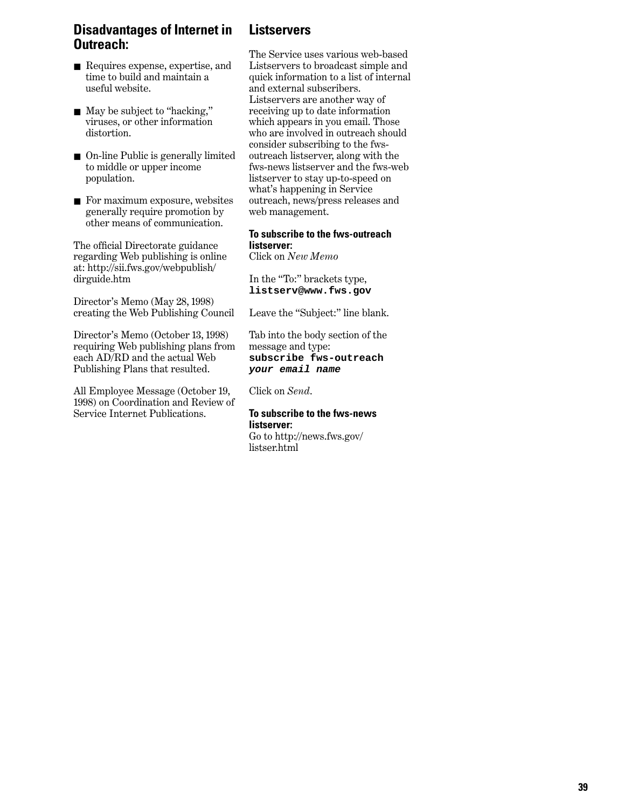## **Disadvantages of Internet in Outreach:**

- Requires expense, expertise, and time to build and maintain a useful website.
- May be subject to "hacking," viruses, or other information distortion.
- On-line Public is generally limited to middle or upper income population.
- For maximum exposure, websites generally require promotion by other means of communication.

The official Directorate guidance regarding Web publishing is online at: http://sii.fws.gov/webpublish/ dirguide.htm

Director's Memo (May 28, 1998) creating the Web Publishing Council

Director's Memo (October 13, 1998) requiring Web publishing plans from each AD/RD and the actual Web Publishing Plans that resulted.

All Employee Message (October 19, 1998) on Coordination and Review of Service Internet Publications.

## **Listservers**

The Service uses various web-based Listservers to broadcast simple and quick information to a list of internal and external subscribers. Listservers are another way of receiving up to date information which appears in you email. Those who are involved in outreach should consider subscribing to the fwsoutreach listserver, along with the fws-news listserver and the fws-web listserver to stay up-to-speed on what's happening in Service outreach, news/press releases and web management.

#### **To subscribe to the fws-outreach listserver:**

Click on *New Memo*

In the "To:" brackets type, **listserv@www.fws.gov**

Leave the "Subject:" line blank.

Tab into the body section of the message and type: **subscribe fws-outreach your email name**

Click on *Send*.

#### **To subscribe to the fws-news listserver:**

Go to http://news.fws.gov/ listser.html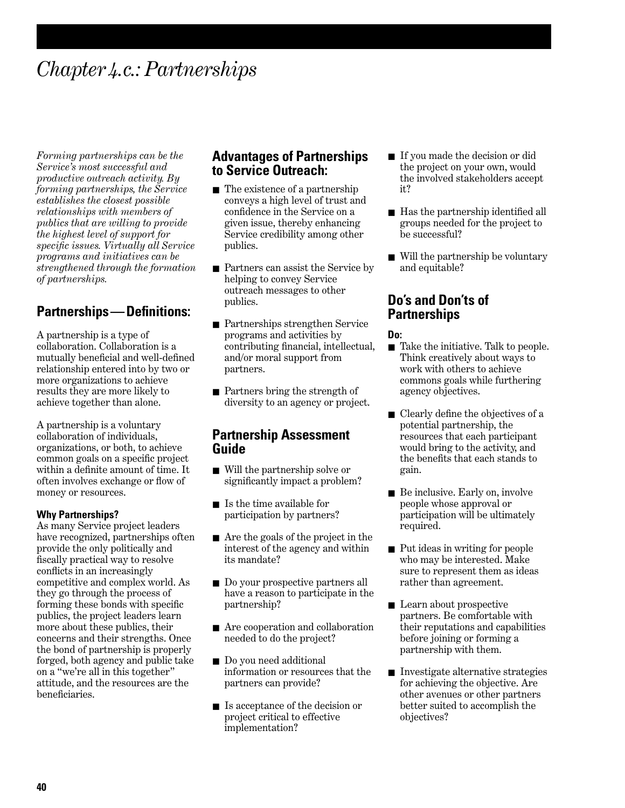## *Chapter 4.c.: Partnerships*

*Forming partnerships can be the Service's most successful and productive outreach activity. By forming partnerships, the Service establishes the closest possible relationships with members of publics that are willing to provide the highest level of support for specific issues. Virtually all Service programs and initiatives can be strengthened through the formation of partnerships.* 

## **Partnerships—Definitions:**

A partnership is a type of collaboration. Collaboration is a mutually beneficial and well-defined relationship entered into by two or more organizations to achieve results they are more likely to achieve together than alone.

A partnership is a voluntary collaboration of individuals, organizations, or both, to achieve common goals on a specific project within a definite amount of time. It often involves exchange or flow of money or resources.

#### **Why Partnerships?**

As many Service project leaders have recognized, partnerships often provide the only politically and fiscally practical way to resolve conflicts in an increasingly competitive and complex world. As they go through the process of forming these bonds with specific publics, the project leaders learn more about these publics, their concerns and their strengths. Once the bond of partnership is properly forged, both agency and public take on a "we're all in this together" attitude, and the resources are the beneficiaries.

### **Advantages of Partnerships to Service Outreach:**

- The existence of a partnership conveys a high level of trust and confidence in the Service on a given issue, thereby enhancing Service credibility among other publics.
- Partners can assist the Service by helping to convey Service outreach messages to other publics.
- Partnerships strengthen Service programs and activities by contributing financial, intellectual, and/or moral support from partners.
- Partners bring the strength of diversity to an agency or project.

#### **Partnership Assessment Guide**

- Will the partnership solve or significantly impact a problem?
- Is the time available for participation by partners?
- Are the goals of the project in the interest of the agency and within its mandate?
- Do your prospective partners all have a reason to participate in the partnership?
- Are cooperation and collaboration needed to do the project?
- Do you need additional information or resources that the partners can provide?
- Is acceptance of the decision or project critical to effective implementation?
- If you made the decision or did the project on your own, would the involved stakeholders accept it?
- Has the partnership identified all groups needed for the project to be successful?
- Will the partnership be voluntary and equitable?

## **Do's and Don'ts of Partnerships**

#### **Do:**

- Take the initiative. Talk to people. Think creatively about ways to work with others to achieve commons goals while furthering agency objectives.
- Clearly define the objectives of a potential partnership, the resources that each participant would bring to the activity, and the benefits that each stands to gain.
- Be inclusive. Early on, involve people whose approval or participation will be ultimately required.
- Put ideas in writing for people who may be interested. Make sure to represent them as ideas rather than agreement.
- Learn about prospective partners. Be comfortable with their reputations and capabilities before joining or forming a partnership with them.
- Investigate alternative strategies for achieving the objective. Are other avenues or other partners better suited to accomplish the objectives?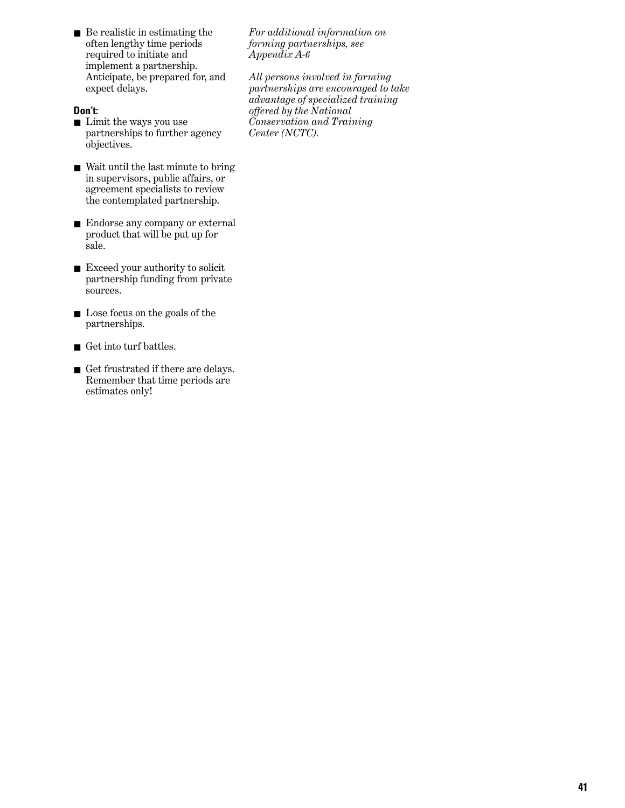■ Be realistic in estimating the often lengthy time periods required to initiate and implement a partnership. Anticipate, be prepared for, and expect delays.

#### **Don't:**

- Limit the ways you use partnerships to further agency objectives.
- Wait until the last minute to bring in supervisors, public affairs, or agreement specialists to review the contemplated partnership.
- Endorse any company or external product that will be put up for sale.
- Exceed your authority to solicit partnership funding from private sources.
- Lose focus on the goals of the partnerships.
- Get into turf battles.
- Get frustrated if there are delays. Remember that time periods are estimates only!

*For additional information on forming partnerships, see Appendix A-6*

*All persons involved in forming partnerships are encouraged to take advantage of specialized training offered by the National Conservation and Training Center (NCTC).*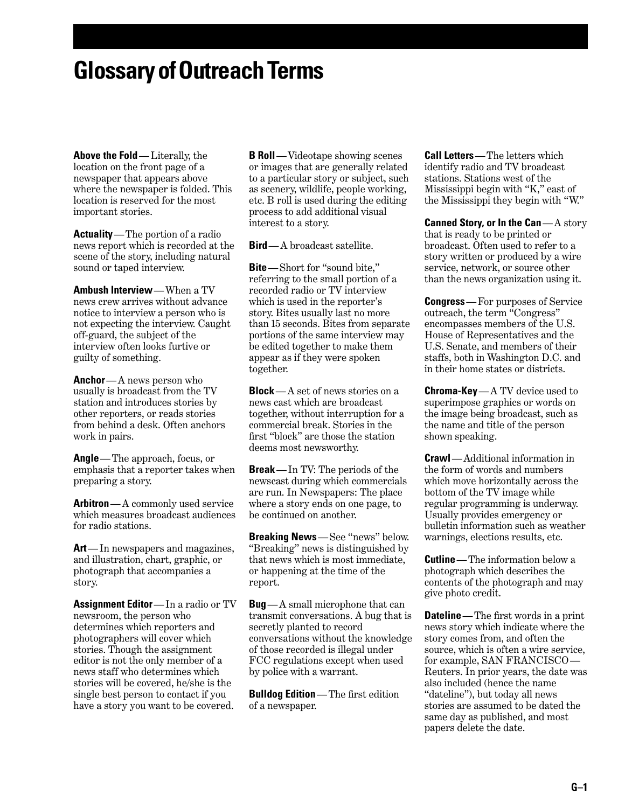## **Glossary of Outreach Terms**

**Above the Fold**—Literally, the location on the front page of a newspaper that appears above where the newspaper is folded. This location is reserved for the most important stories.

**Actuality**—The portion of a radio news report which is recorded at the scene of the story, including natural sound or taped interview.

**Ambush Interview**—When a TV news crew arrives without advance notice to interview a person who is not expecting the interview. Caught off-guard, the subject of the interview often looks furtive or guilty of something.

**Anchor**— A news person who usually is broadcast from the TV station and introduces stories by other reporters, or reads stories from behind a desk. Often anchors work in pairs.

**Angle**—The approach, focus, or emphasis that a reporter takes when preparing a story.

**Arbitron**— A commonly used service which measures broadcast audiences for radio stations.

**Art**—In newspapers and magazines, and illustration, chart, graphic, or photograph that accompanies a story.

**Assignment Editor**—In a radio or TV newsroom, the person who determines which reporters and photographers will cover which stories. Though the assignment editor is not the only member of a news staff who determines which stories will be covered, he/she is the single best person to contact if you have a story you want to be covered.

**B Roll**— Videotape showing scenes or images that are generally related to a particular story or subject, such as scenery, wildlife, people working, etc. B roll is used during the editing process to add additional visual interest to a story.

**Bird**— A broadcast satellite.

**Bite**—Short for "sound bite," referring to the small portion of a recorded radio or TV interview which is used in the reporter's story. Bites usually last no more than 15 seconds. Bites from separate portions of the same interview may be edited together to make them appear as if they were spoken together.

**Block**— A set of news stories on a news cast which are broadcast together, without interruption for a commercial break. Stories in the first "block" are those the station deems most newsworthy.

**Break**—In TV: The periods of the newscast during which commercials are run. In Newspapers: The place where a story ends on one page, to be continued on another.

**Breaking News**—See "news" below. "Breaking" news is distinguished by that news which is most immediate, or happening at the time of the report.

**Bug**— A small microphone that can transmit conversations. A bug that is secretly planted to record conversations without the knowledge of those recorded is illegal under FCC regulations except when used by police with a warrant.

**Bulldog Edition**—The first edition of a newspaper.

**Call Letters**—The letters which identify radio and TV broadcast stations. Stations west of the Mississippi begin with "K," east of the Mississippi they begin with "W."

**Canned Story, or In the Can**— A story that is ready to be printed or broadcast. Often used to refer to a story written or produced by a wire service, network, or source other than the news organization using it.

**Congress**— For purposes of Service outreach, the term "Congress" encompasses members of the U.S. House of Representatives and the U.S. Senate, and members of their staffs, both in Washington D.C. and in their home states or districts.

**Chroma-Key**— A TV device used to superimpose graphics or words on the image being broadcast, such as the name and title of the person shown speaking.

**Crawl**— Additional information in the form of words and numbers which move horizontally across the bottom of the TV image while regular programming is underway. Usually provides emergency or bulletin information such as weather warnings, elections results, etc.

**Cutline**—The information below a photograph which describes the contents of the photograph and may give photo credit.

**Dateline**—The first words in a print news story which indicate where the story comes from, and often the source, which is often a wire service, for example, SAN FRANCISCO — Reuters. In prior years, the date was also included (hence the name "dateline"), but today all news stories are assumed to be dated the same day as published, and most papers delete the date.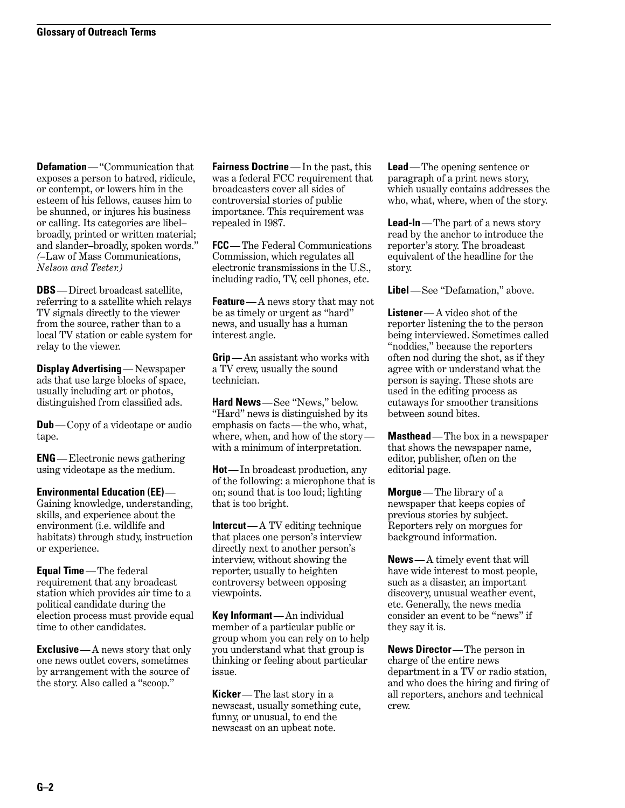**Defamation**—"Communication that exposes a person to hatred, ridicule, or contempt, or lowers him in the esteem of his fellows, causes him to be shunned, or injures his business or calling. Its categories are libel– broadly, printed or written material; and slander–broadly, spoken words." *(–*Law of Mass Communications, *Nelson and Teeter.)*

**DBS**—Direct broadcast satellite, referring to a satellite which relays TV signals directly to the viewer from the source, rather than to a local TV station or cable system for relay to the viewer.

**Display Advertising**— Newspaper ads that use large blocks of space, usually including art or photos, distinguished from classified ads.

**Dub**—Copy of a videotape or audio tape.

**ENG**—Electronic news gathering using videotape as the medium.

**Environmental Education (EE)**—

Gaining knowledge, understanding, skills, and experience about the environment (i.e. wildlife and habitats) through study, instruction or experience.

**Equal Time**—The federal requirement that any broadcast station which provides air time to a political candidate during the election process must provide equal time to other candidates.

**Exclusive** — A news story that only one news outlet covers, sometimes by arrangement with the source of the story. Also called a "scoop."

**Fairness Doctrine**— In the past, this was a federal FCC requirement that broadcasters cover all sides of controversial stories of public importance. This requirement was repealed in 1987.

**FCC**—The Federal Communications Commission, which regulates all electronic transmissions in the U.S., including radio, TV, cell phones, etc.

**Feature**—A news story that may not be as timely or urgent as "hard" news, and usually has a human interest angle.

**Grip**—An assistant who works with a TV crew, usually the sound technician.

**Hard News**—See "News," below. "Hard" news is distinguished by its emphasis on facts — the who, what, where, when, and how of the story with a minimum of interpretation.

**Hot**—In broadcast production, any of the following: a microphone that is on; sound that is too loud; lighting that is too bright.

**Intercut**— A TV editing technique that places one person's interview directly next to another person's interview, without showing the reporter, usually to heighten controversy between opposing viewpoints.

**Key Informant**—An individual member of a particular public or group whom you can rely on to help you understand what that group is thinking or feeling about particular issue.

**Kicker**—The last story in a newscast, usually something cute, funny, or unusual, to end the newscast on an upbeat note.

**Lead**— The opening sentence or paragraph of a print news story, which usually contains addresses the who, what, where, when of the story.

**Lead-In**—The part of a news story read by the anchor to introduce the reporter's story. The broadcast equivalent of the headline for the story.

**Libel**—See "Defamation," above.

**Listener**— A video shot of the reporter listening the to the person being interviewed. Sometimes called "noddies," because the reporters often nod during the shot, as if they agree with or understand what the person is saying. These shots are used in the editing process as cutaways for smoother transitions between sound bites.

**Masthead**—The box in a newspaper that shows the newspaper name, editor, publisher, often on the editorial page.

**Morgue**—The library of a newspaper that keeps copies of previous stories by subject. Reporters rely on morgues for background information.

**News**— A timely event that will have wide interest to most people, such as a disaster, an important discovery, unusual weather event, etc. Generally, the news media consider an event to be "news" if they say it is.

**News Director**—The person in charge of the entire news department in a TV or radio station, and who does the hiring and firing of all reporters, anchors and technical crew.